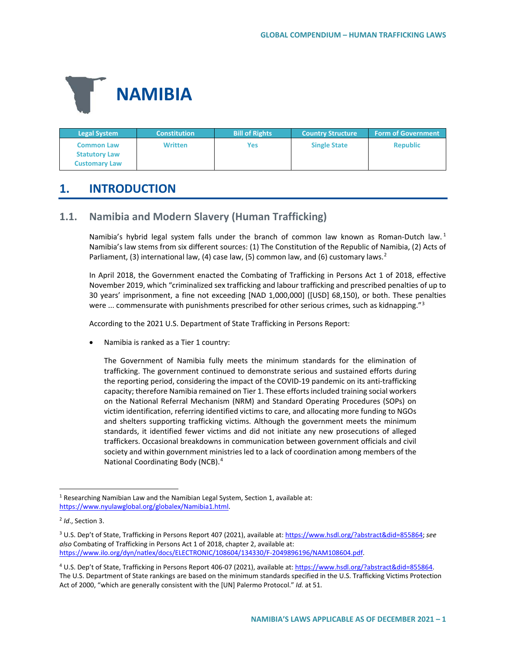

| <b>Legal System</b>                                               | <b>Constitution</b> | <b>Bill of Rights</b> | <b>Country Structure</b> | <b>Form of Government</b> |
|-------------------------------------------------------------------|---------------------|-----------------------|--------------------------|---------------------------|
| <b>Common Law</b><br><b>Statutory Law</b><br><b>Customary Law</b> | <b>Written</b>      | Yes                   | <b>Single State</b>      | <b>Republic</b>           |

# **1. INTRODUCTION**

# **1.1. Namibia and Modern Slavery (Human Trafficking)**

Namibia's hybrid legal system falls under the branch of common law known as Roman-Dutch law.<sup>[1](#page-0-0)</sup> Namibia's law stems from six different sources: (1) The Constitution of the Republic of Namibia, (2) Acts of Parliament, (3) international law, (4) case law, (5) common law, and (6) customary laws.<sup>[2](#page-0-1)</sup>

In April 2018, the Government enacted the Combating of Trafficking in Persons Act 1 of 2018, effective November 2019, which "criminalized sex trafficking and labour trafficking and prescribed penalties of up to 30 years' imprisonment, a fine not exceeding [NAD 1,000,000] ([USD] 68,150), or both. These penalties were  $\ldots$  commensurate with punishments prescribed for other serious crimes, such as kidnapping."<sup>[3](#page-0-2)</sup>

According to the 2021 U.S. Department of State Trafficking in Persons Report:

• Namibia is ranked as a Tier 1 country:

The Government of Namibia fully meets the minimum standards for the elimination of trafficking. The government continued to demonstrate serious and sustained efforts during the reporting period, considering the impact of the COVID-19 pandemic on its anti-trafficking capacity; therefore Namibia remained on Tier 1. These efforts included training social workers on the National Referral Mechanism (NRM) and Standard Operating Procedures (SOPs) on victim identification, referring identified victims to care, and allocating more funding to NGOs and shelters supporting trafficking victims. Although the government meets the minimum standards, it identified fewer victims and did not initiate any new prosecutions of alleged traffickers. Occasional breakdowns in communication between government officials and civil society and within government ministries led to a lack of coordination among members of the National Coordinating Body (NCB).[4](#page-0-3)

<span id="page-0-0"></span> <sup>1</sup> Researching Namibian Law and the Namibian Legal System, Section 1, available at: [https://www.nyulawglobal.org/globalex/Namibia1.html.](https://www.nyulawglobal.org/globalex/Namibia1.html) 

<span id="page-0-1"></span><sup>2</sup> *Id*., Section 3.

<span id="page-0-2"></span><sup>3</sup> U.S. Dep't of State, Trafficking in Persons Report 407 (2021), available at[: https://www.hsdl.org/?abstract&did=855864;](https://www.hsdl.org/?abstract&did=855864) *see also* Combating of Trafficking in Persons Act 1 of 2018, chapter 2, available at: [https://www.ilo.org/dyn/natlex/docs/ELECTRONIC/108604/134330/F-2049896196/NAM108604.pdf.](https://www.ilo.org/dyn/natlex/docs/ELECTRONIC/108604/134330/F-2049896196/NAM108604.pdf)

<span id="page-0-3"></span><sup>4</sup> U.S. Dep't of State, Trafficking in Persons Report 406-07 (2021), available at[: https://www.hsdl.org/?abstract&did=855864.](https://www.hsdl.org/?abstract&did=855864)  The U.S. Department of State rankings are based on the minimum standards specified in the U.S. Trafficking Victims Protection Act of 2000, "which are generally consistent with the [UN] Palermo Protocol." *Id.* at 51.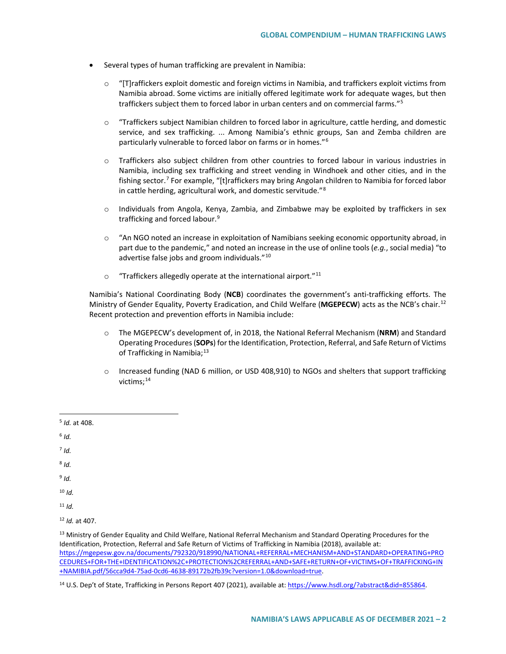- Several types of human trafficking are prevalent in Namibia:
	- $\circ$  "[T]raffickers exploit domestic and foreign victims in Namibia, and traffickers exploit victims from Namibia abroad. Some victims are initially offered legitimate work for adequate wages, but then traffickers subject them to forced labor in urban centers and on commercial farms."[5](#page-1-0)
	- $\circ$  "Traffickers subject Namibian children to forced labor in agriculture, cattle herding, and domestic service, and sex trafficking. ... Among Namibia's ethnic groups, San and Zemba children are particularly vulnerable to forced labor on farms or in homes."[6](#page-1-1)
	- o Traffickers also subject children from other countries to forced labour in various industries in Namibia, including sex trafficking and street vending in Windhoek and other cities, and in the fishing sector.[7](#page-1-2) For example, "[t]raffickers may bring Angolan children to Namibia for forced labor in cattle herding, agricultural work, and domestic servitude."[8](#page-1-3)
	- $\circ$  Individuals from Angola, Kenya, Zambia, and Zimbabwe may be exploited by traffickers in sex trafficking and forced labour.<sup>[9](#page-1-4)</sup>
	- $\circ$  "An NGO noted an increase in exploitation of Namibians seeking economic opportunity abroad, in part due to the pandemic," and noted an increase in the use of online tools (*e.g.*, social media) "to advertise false jobs and groom individuals."[10](#page-1-5)
	- $\circ$  "Traffickers allegedly operate at the international airport."<sup>[11](#page-1-6)</sup>

Namibia's National Coordinating Body (**NCB**) coordinates the government's anti-trafficking efforts. The Ministry of Gender Equality, Poverty Eradication, and Child Welfare (**MGEPECW**) acts as the NCB's chair.[12](#page-1-7) Recent protection and prevention efforts in Namibia include:

- o The MGEPECW's development of, in 2018, the National Referral Mechanism (**NRM**) and Standard Operating Procedures (**SOPs**) for the Identification, Protection, Referral, and Safe Return of Victims of Trafficking in Namibia;<sup>[13](#page-1-8)</sup>
- o Increased funding (NAD 6 million, or USD 408,910) to NGOs and shelters that support trafficking victims;<sup>[14](#page-1-9)</sup>
- <span id="page-1-0"></span>5 *Id.* at 408.
- <span id="page-1-1"></span> $6$  *Id.*
- <span id="page-1-2"></span> $7$  *Id.*
- <span id="page-1-3"></span><sup>8</sup> *Id.*
- <span id="page-1-4"></span><sup>9</sup> *Id.*

<span id="page-1-5"></span> $10$  *Id.* 

<span id="page-1-6"></span><sup>11</sup> *Id.*

<span id="page-1-7"></span><sup>12</sup> *Id.* at 407.

<span id="page-1-8"></span><sup>13</sup> Ministry of Gender Equality and Child Welfare, National Referral Mechanism and Standard Operating Procedures for the Identification, Protection, Referral and Safe Return of Victims of Trafficking in Namibia (2018), available at: [https://mgepesw.gov.na/documents/792320/918990/NATIONAL+REFERRAL+MECHANISM+AND+STANDARD+OPERATING+PRO](https://mgepesw.gov.na/documents/792320/918990/NATIONAL+REFERRAL+MECHANISM+AND+STANDARD+OPERATING+PROCEDURES+FOR+THE+IDENTIFICATION%2C+PROTECTION%2CREFERRAL+AND+SAFE+RETURN+OF+VICTIMS+OF+TRAFFICKING+IN+NAMIBIA.pdf/56cca9d4-75ad-0cd6-4638-89172b2fb39c?version=1.0&download=true) [CEDURES+FOR+THE+IDENTIFICATION%2C+PROTECTION%2CREFERRAL+AND+SAFE+RETURN+OF+VICTIMS+OF+TRAFFICKING+IN](https://mgepesw.gov.na/documents/792320/918990/NATIONAL+REFERRAL+MECHANISM+AND+STANDARD+OPERATING+PROCEDURES+FOR+THE+IDENTIFICATION%2C+PROTECTION%2CREFERRAL+AND+SAFE+RETURN+OF+VICTIMS+OF+TRAFFICKING+IN+NAMIBIA.pdf/56cca9d4-75ad-0cd6-4638-89172b2fb39c?version=1.0&download=true) [+NAMIBIA.pdf/56cca9d4-75ad-0cd6-4638-89172b2fb39c?version=1.0&download=true.](https://mgepesw.gov.na/documents/792320/918990/NATIONAL+REFERRAL+MECHANISM+AND+STANDARD+OPERATING+PROCEDURES+FOR+THE+IDENTIFICATION%2C+PROTECTION%2CREFERRAL+AND+SAFE+RETURN+OF+VICTIMS+OF+TRAFFICKING+IN+NAMIBIA.pdf/56cca9d4-75ad-0cd6-4638-89172b2fb39c?version=1.0&download=true) 

<span id="page-1-9"></span><sup>14</sup> U.S. Dep't of State, Trafficking in Persons Report 407 (2021), available at[: https://www.hsdl.org/?abstract&did=855864.](https://www.hsdl.org/?abstract&did=855864)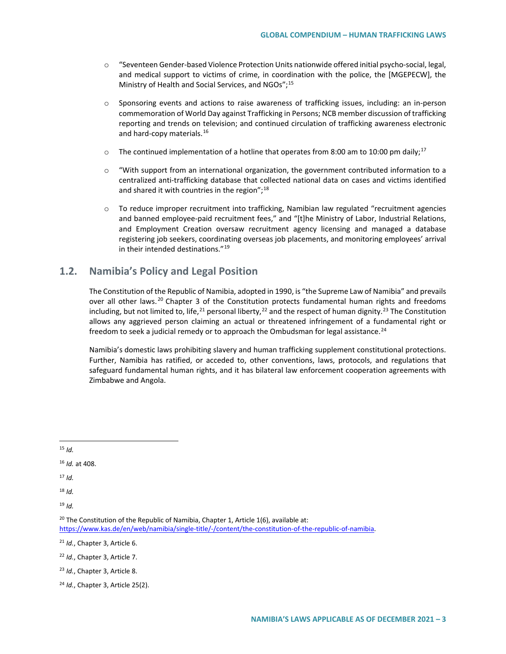- o "Seventeen Gender-based Violence Protection Units nationwide offered initial psycho-social, legal, and medical support to victims of crime, in coordination with the police, the [MGEPECW], the Ministry of Health and Social Services, and NGOs";[15](#page-2-0)
- o Sponsoring events and actions to raise awareness of trafficking issues, including: an in-person commemoration of World Day against Trafficking in Persons; NCB member discussion of trafficking reporting and trends on television; and continued circulation of trafficking awareness electronic and hard-copy materials.<sup>[16](#page-2-1)</sup>
- $\circ$  The continued implementation of a hotline that operates from 8:00 am to 10:00 pm daily;<sup>[17](#page-2-2)</sup>
- $\circ$  "With support from an international organization, the government contributed information to a centralized anti-trafficking database that collected national data on cases and victims identified and shared it with countries in the region"; $^{18}$  $^{18}$  $^{18}$
- $\circ$  To reduce improper recruitment into trafficking, Namibian law regulated "recruitment agencies and banned employee-paid recruitment fees," and "[t]he Ministry of Labor, Industrial Relations, and Employment Creation oversaw recruitment agency licensing and managed a database registering job seekers, coordinating overseas job placements, and monitoring employees' arrival in their intended destinations."[19](#page-2-4)

# **1.2. Namibia's Policy and Legal Position**

The Constitution of the Republic of Namibia, adopted in 1990, is "the Supreme Law of Namibia" and prevails over all other laws.<sup>[20](#page-2-5)</sup> Chapter 3 of the Constitution protects fundamental human rights and freedoms including, but not limited to, life,  $21$  personal liberty,  $22$  and the respect of human dignity.  $23$  The Constitution allows any aggrieved person claiming an actual or threatened infringement of a fundamental right or freedom to seek a judicial remedy or to approach the Ombudsman for legal assistance.<sup>[24](#page-2-9)</sup>

Namibia's domestic laws prohibiting slavery and human trafficking supplement constitutional protections. Further, Namibia has ratified, or acceded to, other conventions, laws, protocols, and regulations that safeguard fundamental human rights, and it has bilateral law enforcement cooperation agreements with Zimbabwe and Angola.

<span id="page-2-0"></span> $15$  *Id.* 

<span id="page-2-2"></span><sup>17</sup> *Id.*

<span id="page-2-3"></span><sup>18</sup> *Id.*

<span id="page-2-4"></span><sup>19</sup> *Id.*

<span id="page-2-6"></span><sup>21</sup> *Id.*, Chapter 3, Article 6.

<span id="page-2-1"></span><sup>16</sup> *Id.* at 408.

<span id="page-2-5"></span> $20$  The Constitution of the Republic of Namibia, Chapter 1, Article 1(6), available at: [https://www.kas.de/en/web/namibia/single-title/-/content/the-constitution-of-the-republic-of-namibia.](https://www.kas.de/en/web/namibia/single-title/-/content/the-constitution-of-the-republic-of-namibia)

<span id="page-2-7"></span><sup>22</sup> *Id.*, Chapter 3, Article 7.

<span id="page-2-8"></span><sup>23</sup> *Id.*, Chapter 3, Article 8.

<span id="page-2-9"></span><sup>24</sup> *Id.*, Chapter 3, Article 25(2).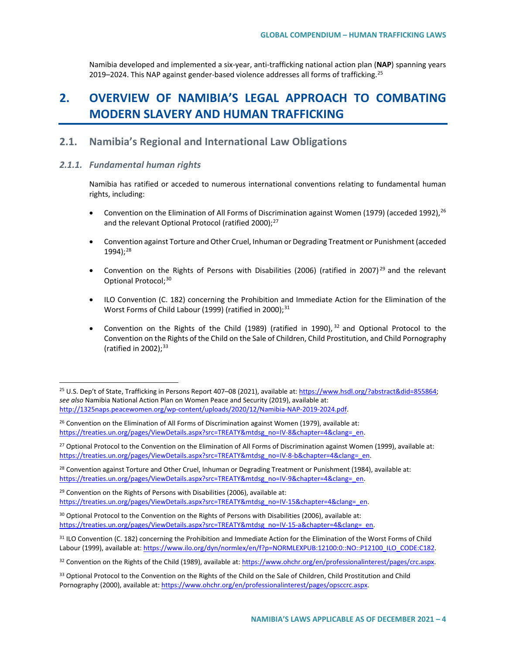Namibia developed and implemented a six-year, anti-trafficking national action plan (**NAP**) spanning years 2019–2024. This NAP against gender-based violence addresses all forms of trafficking.<sup>[25](#page-3-0)</sup>

# **2. OVERVIEW OF NAMIBIA'S LEGAL APPROACH TO COMBATING MODERN SLAVERY AND HUMAN TRAFFICKING**

# **2.1. Namibia's Regional and International Law Obligations**

## *2.1.1. Fundamental human rights*

Namibia has ratified or acceded to numerous international conventions relating to fundamental human rights, including:

- Convention on the Elimination of All Forms of Discrimination against Women (1979) (acceded 1992),  $^{26}$  $^{26}$  $^{26}$ and the relevant Optional Protocol (ratified 2000);<sup>[27](#page-3-2)</sup>
- Convention against Torture and Other Cruel, Inhuman or Degrading Treatment or Punishment (acceded 1994);[28](#page-3-3)
- Convention on the Rights of Persons with Disabilities (2006) (ratified in 2007)<sup>[29](#page-3-4)</sup> and the relevant Optional Protocol;<sup>[30](#page-3-5)</sup>
- ILO Convention (C. 182) concerning the Prohibition and Immediate Action for the Elimination of the Worst Forms of Child Labour (1999) (ratified in 2000);<sup>[31](#page-3-6)</sup>
- Convention on the Rights of the Child (1989) (ratified in 1990),  $32$  and Optional Protocol to the Convention on the Rights of the Child on the Sale of Children, Child Prostitution, and Child Pornography (ratified in 2002); $33$

<span id="page-3-0"></span><sup>&</sup>lt;sup>25</sup> U.S. Dep't of State, Trafficking in Persons Report 407-08 (2021), available at: https://www.hsdl.org/?abstract&did=855864; *see also* Namibia National Action Plan on Women Peace and Security (2019), available at: [http://1325naps.peacewomen.org/wp-content/uploads/2020/12/Namibia-NAP-2019-2024.pdf.](http://1325naps.peacewomen.org/wp-content/uploads/2020/12/Namibia-NAP-2019-2024.pdf)

<span id="page-3-1"></span> $26$  Convention on the Elimination of All Forms of Discrimination against Women (1979), available at: [https://treaties.un.org/pages/ViewDetails.aspx?src=TREATY&mtdsg\\_no=IV-8&chapter=4&clang=\\_en.](https://treaties.un.org/pages/ViewDetails.aspx?src=TREATY&mtdsg_no=IV-8&chapter=4&clang=_en)

<span id="page-3-2"></span><sup>&</sup>lt;sup>27</sup> Optional Protocol to the Convention on the Elimination of All Forms of Discrimination against Women (1999), available at: https://treaties.un.org/pages/ViewDetails.aspx?src=TREATY&mtdsg\_no=IV-8-b&chapter=4&clang=\_en.

<span id="page-3-3"></span><sup>&</sup>lt;sup>28</sup> Convention against Torture and Other Cruel, Inhuman or Degrading Treatment or Punishment (1984), available at: [https://treaties.un.org/pages/ViewDetails.aspx?src=TREATY&mtdsg\\_no=IV-9&chapter=4&clang=\\_en.](https://treaties.un.org/pages/ViewDetails.aspx?src=TREATY&mtdsg_no=IV-9&chapter=4&clang=_en)

<span id="page-3-4"></span> $29$  Convention on the Rights of Persons with Disabilities (2006), available at: https://treaties.un.org/pages/ViewDetails.aspx?src=TREATY&mtdsg\_no=IV-15&chapter=4&clang=\_en.

<span id="page-3-5"></span><sup>&</sup>lt;sup>30</sup> Optional Protocol to the Convention on the Rights of Persons with Disabilities (2006), available at: [https://treaties.un.org/pages/ViewDetails.aspx?src=TREATY&mtdsg\\_no=IV-15-a&chapter=4&clang=\\_en.](https://treaties.un.org/pages/ViewDetails.aspx?src=TREATY&mtdsg_no=IV-15-a&chapter=4&clang=_en)

<span id="page-3-6"></span><sup>&</sup>lt;sup>31</sup> ILO Convention (C. 182) concerning the Prohibition and Immediate Action for the Elimination of the Worst Forms of Child Labour (1999), available at[: https://www.ilo.org/dyn/normlex/en/f?p=NORMLEXPUB:12100:0::NO::P12100\\_ILO\\_CODE:C182.](https://www.ilo.org/dyn/normlex/en/f?p=NORMLEXPUB:12100:0::NO::P12100_ILO_CODE:C182)

<span id="page-3-7"></span><sup>32</sup> Convention on the Rights of the Child (1989), available at: https://www.ohchr.org/en/professionalinterest/pages/crc.aspx.

<span id="page-3-8"></span><sup>&</sup>lt;sup>33</sup> Optional Protocol to the Convention on the Rights of the Child on the Sale of Children, Child Prostitution and Child Pornography (2000), available at[: https://www.ohchr.org/en/professionalinterest/pages/opsccrc.aspx.](https://www.ohchr.org/en/professionalinterest/pages/opsccrc.aspx)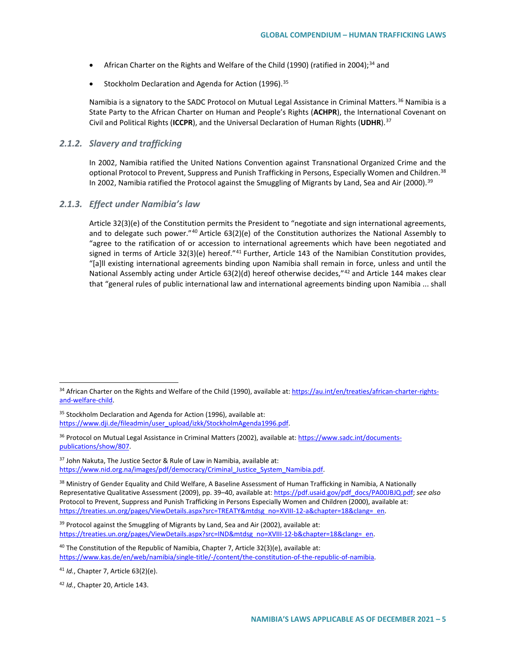- African Charter on the Rights and Welfare of the Child (1990) (ratified in 2004);<sup>[34](#page-4-0)</sup> and
- Stockholm Declaration and Agenda for Action (1996).<sup>[35](#page-4-1)</sup>

Namibia is a signatory to the SADC Protocol on Mutual Legal Assistance in Criminal Matters.<sup>[36](#page-4-2)</sup> Namibia is a State Party to the African Charter on Human and People's Rights (**ACHPR**), the International Covenant on Civil and Political Rights (**ICCPR**), and the Universal Declaration of Human Rights (**UDHR**).[37](#page-4-3)

### *2.1.2. Slavery and trafficking*

In 2002, Namibia ratified the United Nations Convention against Transnational Organized Crime and the optional Protocol to Prevent, Suppress and Punish Trafficking in Persons, Especially Women and Children.<sup>[38](#page-4-4)</sup> In 2002, Namibia ratified the Protocol against the Smuggling of Migrants by Land, Sea and Air (2000).<sup>[39](#page-4-5)</sup>

### *2.1.3. Effect under Namibia's law*

Article 32(3)(e) of the Constitution permits the President to "negotiate and sign international agreements, and to delegate such power."<sup>40</sup> Article  $63(2)(e)$  of the Constitution authorizes the National Assembly to "agree to the ratification of or accession to international agreements which have been negotiated and signed in terms of Article 32(3)(e) hereof."<sup>[41](#page-4-7)</sup> Further, Article 143 of the Namibian Constitution provides, "[a]ll existing international agreements binding upon Namibia shall remain in force, unless and until the National Assembly acting under Article 63(2)(d) hereof otherwise decides,"<sup>[42](#page-4-8)</sup> and Article 144 makes clear that "general rules of public international law and international agreements binding upon Namibia ... shall

<span id="page-4-1"></span><sup>35</sup> Stockholm Declaration and Agenda for Action (1996), available at: [https://www.dji.de/fileadmin/user\\_upload/izkk/StockholmAgenda1996.pdf.](https://www.dji.de/fileadmin/user_upload/izkk/StockholmAgenda1996.pdf)

<span id="page-4-0"></span><sup>34</sup> African Charter on the Rights and Welfare of the Child (1990), available at[: https://au.int/en/treaties/african-charter-rights](https://au.int/en/treaties/african-charter-rights-and-welfare-child)[and-welfare-child.](https://au.int/en/treaties/african-charter-rights-and-welfare-child) 

<span id="page-4-2"></span><sup>36</sup> Protocol on Mutual Legal Assistance in Criminal Matters (2002), available at: [https://www.sadc.int/documents](https://www.sadc.int/documents-publications/show/807)[publications/show/807.](https://www.sadc.int/documents-publications/show/807) 

<span id="page-4-3"></span><sup>&</sup>lt;sup>37</sup> John Nakuta, The Justice Sector & Rule of Law in Namibia, available at: [https://www.nid.org.na/images/pdf/democracy/Criminal\\_Justice\\_System\\_Namibia.pdf.](https://www.nid.org.na/images/pdf/democracy/Criminal_Justice_System_Namibia.pdf)

<span id="page-4-4"></span><sup>&</sup>lt;sup>38</sup> Ministry of Gender Equality and Child Welfare, A Baseline Assessment of Human Trafficking in Namibia, A Nationally Representative Qualitative Assessment (2009), pp. 39–40, available at: [https://pdf.usaid.gov/pdf\\_docs/PA00JBJQ.pdf;](https://pdf.usaid.gov/pdf_docs/PA00JBJQ.pdf) *see also*  Protocol to Prevent, Suppress and Punish Trafficking in Persons Especially Women and Children (2000), available at: https://treaties.un.org/pages/ViewDetails.aspx?src=TREATY&mtdsg\_no=XVIII-12-a&chapter=18&clang=\_en.

<span id="page-4-5"></span><sup>&</sup>lt;sup>39</sup> Protocol against the Smuggling of Migrants by Land, Sea and Air (2002), available at: [https://treaties.un.org/pages/ViewDetails.aspx?src=IND&mtdsg\\_no=XVIII-12-b&chapter=18&clang=\\_en.](https://treaties.un.org/pages/ViewDetails.aspx?src=IND&mtdsg_no=XVIII-12-b&chapter=18&clang=_en)

<span id="page-4-6"></span> $40$  The Constitution of the Republic of Namibia, Chapter 7, Article 32(3)(e), available at: [https://www.kas.de/en/web/namibia/single-title/-/content/the-constitution-of-the-republic-of-namibia.](https://www.kas.de/en/web/namibia/single-title/-/content/the-constitution-of-the-republic-of-namibia)

<span id="page-4-7"></span><sup>41</sup> *Id.*, Chapter 7, Article 63(2)(e).

<span id="page-4-8"></span><sup>42</sup> *Id.*, Chapter 20, Article 143.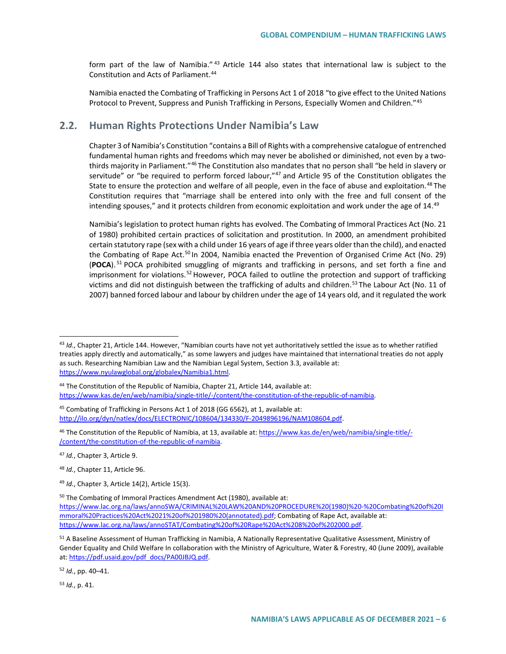form part of the law of Namibia." [43](#page-5-0) Article 144 also states that international law is subject to the Constitution and Acts of Parliament.<sup>[44](#page-5-1)</sup>

Namibia enacted the Combating of Trafficking in Persons Act 1 of 2018 "to give effect to the United Nations Protocol to Prevent, Suppress and Punish Trafficking in Persons, Especially Women and Children.["45](#page-5-2)

# **2.2. Human Rights Protections Under Namibia's Law**

Chapter 3 of Namibia's Constitution "contains a Bill of Rights with a comprehensive catalogue of entrenched fundamental human rights and freedoms which may never be abolished or diminished, not even by a twothirds majority in Parliament."[46](#page-5-3) The Constitution also mandates that no person shall "be held in slavery or servitude" or "be required to perform forced labour," $47$  and Article 95 of the Constitution obligates the State to ensure the protection and welfare of all people, even in the face of abuse and exploitation.<sup>[48](#page-5-5)</sup> The Constitution requires that "marriage shall be entered into only with the free and full consent of the intending spouses," and it protects children from economic exploitation and work under the age of 14.[49](#page-5-6)

Namibia's legislation to protect human rights has evolved. The Combating of Immoral Practices Act (No. 21 of 1980) prohibited certain practices of solicitation and prostitution. In 2000, an amendment prohibited certain statutory rape (sex with a child under 16 years of age if three years older than the child), and enacted the Combating of Rape Act.<sup>[50](#page-5-7)</sup> In 2004, Namibia enacted the Prevention of Organised Crime Act (No. 29) (**POCA**). [51](#page-5-8) POCA prohibited smuggling of migrants and trafficking in persons, and set forth a fine and imprisonment for violations.<sup>[52](#page-5-9)</sup> However, POCA failed to outline the protection and support of trafficking victims and did not distinguish between the trafficking of adults and children.<sup>[53](#page-5-10)</sup> The Labour Act (No. 11 of 2007) banned forced labour and labour by children under the age of 14 years old, and it regulated the work

- <span id="page-5-5"></span><sup>48</sup> *Id.*, Chapter 11, Article 96.
- <span id="page-5-6"></span><sup>49</sup> *Id.*, Chapter 3, Article 14(2), Article 15(3).

<span id="page-5-7"></span><sup>50</sup> The Combating of Immoral Practices Amendment Act (1980), available at:

<span id="page-5-9"></span><sup>52</sup> *Id.*, pp. 40–41.

<span id="page-5-10"></span><sup>53</sup> *Id.*, p. 41.

<span id="page-5-0"></span> <sup>43</sup> *Id.*, Chapter 21, Article 144. However, "Namibian courts have not yet authoritatively settled the issue as to whether ratified treaties apply directly and automatically," as some lawyers and judges have maintained that international treaties do not apply as such. Researching Namibian Law and the Namibian Legal System, Section 3.3, available at: [https://www.nyulawglobal.org/globalex/Namibia1.html.](https://www.nyulawglobal.org/globalex/Namibia1.html)

<span id="page-5-1"></span><sup>&</sup>lt;sup>44</sup> The Constitution of the Republic of Namibia, Chapter 21, Article 144, available at: [https://www.kas.de/en/web/namibia/single-title/-/content/the-constitution-of-the-republic-of-namibia.](https://www.kas.de/en/web/namibia/single-title/-/content/the-constitution-of-the-republic-of-namibia)

<span id="page-5-2"></span><sup>45</sup> Combating of Trafficking in Persons Act 1 of 2018 (GG 6562), at 1, available at: [http://ilo.org/dyn/natlex/docs/ELECTRONIC/108604/134330/F-2049896196/NAM108604.pdf.](http://ilo.org/dyn/natlex/docs/ELECTRONIC/108604/134330/F-2049896196/NAM108604.pdf)

<span id="page-5-3"></span><sup>&</sup>lt;sup>46</sup> The Constitution of the Republic of Namibia, at 13, available at[: https://www.kas.de/en/web/namibia/single-title/-](https://www.kas.de/en/web/namibia/single-title/-/content/the-constitution-of-the-republic-of-namibia) [/content/the-constitution-of-the-republic-of-namibia.](https://www.kas.de/en/web/namibia/single-title/-/content/the-constitution-of-the-republic-of-namibia)

<span id="page-5-4"></span><sup>47</sup> *Id.*, Chapter 3, Article 9.

[https://www.lac.org.na/laws/annoSWA/CRIMINAL%20LAW%20AND%20PROCEDURE%20\(1980\)%20-%20Combating%20of%20I](https://www.lac.org.na/laws/annoSWA/CRIMINAL%20LAW%20AND%20PROCEDURE%20(1980)%20-%20Combating%20of%20Immoral%20Practices%20Act%2021%20of%201980%20(annotated).pdf) [mmoral%20Practices%20Act%2021%20of%201980%20\(annotated\).pdf;](https://www.lac.org.na/laws/annoSWA/CRIMINAL%20LAW%20AND%20PROCEDURE%20(1980)%20-%20Combating%20of%20Immoral%20Practices%20Act%2021%20of%201980%20(annotated).pdf) Combating of Rape Act, available at: [https://www.lac.org.na/laws/annoSTAT/Combating%20of%20Rape%20Act%208%20of%202000.pdf.](https://www.lac.org.na/laws/annoSTAT/Combating%20of%20Rape%20Act%208%20of%202000.pdf)

<span id="page-5-8"></span><sup>&</sup>lt;sup>51</sup> A Baseline Assessment of Human Trafficking in Namibia, A Nationally Representative Qualitative Assessment, Ministry of Gender Equality and Child Welfare In collaboration with the Ministry of Agriculture, Water & Forestry, 40 (June 2009), available at: [https://pdf.usaid.gov/pdf\\_docs/PA00JBJQ.pdf.](https://pdf.usaid.gov/pdf_docs/PA00JBJQ.pdf)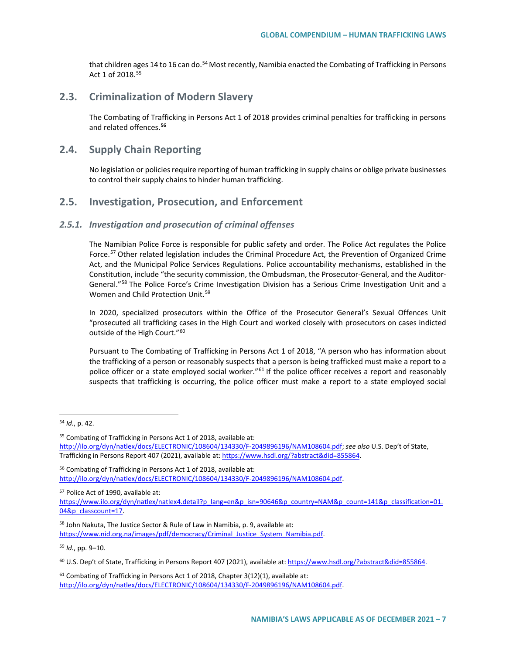that children ages 14 to 16 can do.<sup>[54](#page-6-0)</sup> Most recently, Namibia enacted the Combating of Trafficking in Persons Act 1 of 2018.[55](#page-6-1)

# **2.3. Criminalization of Modern Slavery**

The Combating of Trafficking in Persons Act 1 of 2018 provides criminal penalties for trafficking in persons and related offences.**[56](#page-6-2)**

# **2.4. Supply Chain Reporting**

No legislation or policies require reporting of human trafficking in supply chains or oblige private businesses to control their supply chains to hinder human trafficking.

# **2.5. Investigation, Prosecution, and Enforcement**

### *2.5.1. Investigation and prosecution of criminal offenses*

The Namibian Police Force is responsible for public safety and order. The Police Act regulates the Police Force.<sup>[57](#page-6-3)</sup> Other related legislation includes the Criminal Procedure Act, the Prevention of Organized Crime Act, and the Municipal Police Services Regulations. Police accountability mechanisms, established in the Constitution, include "the security commission, the Ombudsman, the Prosecutor-General, and the Auditor-General."<sup>[58](#page-6-4)</sup> The Police Force's Crime Investigation Division has a Serious Crime Investigation Unit and a Women and Child Protection Unit.<sup>[59](#page-6-5)</sup>

In 2020, specialized prosecutors within the Office of the Prosecutor General's Sexual Offences Unit "prosecuted all trafficking cases in the High Court and worked closely with prosecutors on cases indicted outside of the High Court."<sup>[60](#page-6-6)</sup>

Pursuant to The Combating of Trafficking in Persons Act 1 of 2018, "A person who has information about the trafficking of a person or reasonably suspects that a person is being trafficked must make a report to a police officer or a state employed social worker."<sup>[61](#page-6-7)</sup> If the police officer receives a report and reasonably suspects that trafficking is occurring, the police officer must make a report to a state employed social

<span id="page-6-2"></span><sup>56</sup> Combating of Trafficking in Persons Act 1 of 2018, available at: [http://ilo.org/dyn/natlex/docs/ELECTRONIC/108604/134330/F-2049896196/NAM108604.pdf.](http://ilo.org/dyn/natlex/docs/ELECTRONIC/108604/134330/F-2049896196/NAM108604.pdf)

<span id="page-6-3"></span><sup>57</sup> Police Act of 1990, available at:

<span id="page-6-5"></span><sup>59</sup> *Id.*, pp. 9–10.

<span id="page-6-0"></span> <sup>54</sup> *Id.*, p. 42.

<span id="page-6-1"></span><sup>55</sup> Combating of Trafficking in Persons Act 1 of 2018, available at: [http://ilo.org/dyn/natlex/docs/ELECTRONIC/108604/134330/F-2049896196/NAM108604.pdf;](http://ilo.org/dyn/natlex/docs/ELECTRONIC/108604/134330/F-2049896196/NAM108604.pdf) *see also* U.S. Dep't of State, Trafficking in Persons Report 407 (2021), available at: [https://www.hsdl.org/?abstract&did=855864.](https://www.hsdl.org/?abstract&did=855864)

[https://www.ilo.org/dyn/natlex/natlex4.detail?p\\_lang=en&p\\_isn=90646&p\\_country=NAM&p\\_count=141&p\\_classification=01.](https://www.ilo.org/dyn/natlex/natlex4.detail?p_lang=en&p_isn=90646&p_country=NAM&p_count=141&p_classification=01.04&p_classcount=17) [04&p\\_classcount=17.](https://www.ilo.org/dyn/natlex/natlex4.detail?p_lang=en&p_isn=90646&p_country=NAM&p_count=141&p_classification=01.04&p_classcount=17) 

<span id="page-6-4"></span><sup>58</sup> John Nakuta, The Justice Sector & Rule of Law in Namibia, p. 9, available at: [https://www.nid.org.na/images/pdf/democracy/Criminal\\_Justice\\_System\\_Namibia.pdf.](https://www.nid.org.na/images/pdf/democracy/Criminal_Justice_System_Namibia.pdf)

<span id="page-6-6"></span><sup>60</sup> U.S. Dep't of State, Trafficking in Persons Report 407 (2021), available at[: https://www.hsdl.org/?abstract&did=855864.](https://www.hsdl.org/?abstract&did=855864)

<span id="page-6-7"></span> $61$  Combating of Trafficking in Persons Act 1 of 2018, Chapter 3(12)(1), available at: [http://ilo.org/dyn/natlex/docs/ELECTRONIC/108604/134330/F-2049896196/NAM108604.pdf.](http://ilo.org/dyn/natlex/docs/ELECTRONIC/108604/134330/F-2049896196/NAM108604.pdf)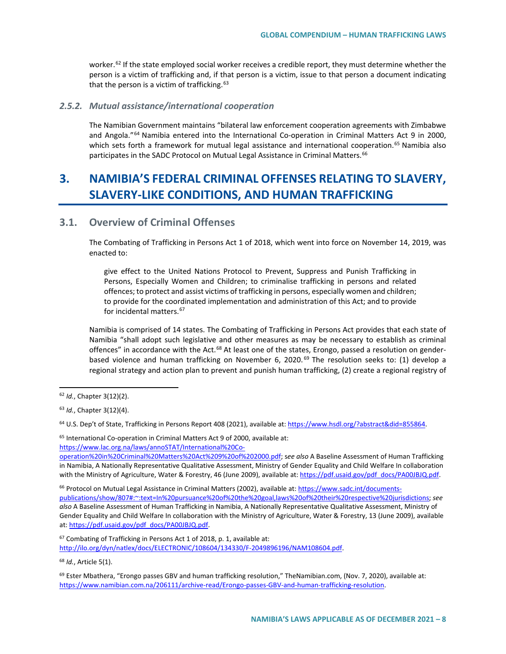worker.<sup>[62](#page-7-0)</sup> If the state employed social worker receives a credible report, they must determine whether the person is a victim of trafficking and, if that person is a victim, issue to that person a document indicating that the person is a victim of trafficking. $63$ 

### *2.5.2. Mutual assistance/international cooperation*

The Namibian Government maintains "bilateral law enforcement cooperation agreements with Zimbabwe and Angola."[64](#page-7-2) Namibia entered into the International Co-operation in Criminal Matters Act 9 in 2000, which sets forth a framework for mutual legal assistance and international cooperation.<sup>[65](#page-7-3)</sup> Namibia also participates in the SADC Protocol on Mutual Legal Assistance in Criminal Matters.<sup>[66](#page-7-4)</sup>

# **3. NAMIBIA'S FEDERAL CRIMINAL OFFENSES RELATING TO SLAVERY, SLAVERY-LIKE CONDITIONS, AND HUMAN TRAFFICKING**

# **3.1. Overview of Criminal Offenses**

The Combating of Trafficking in Persons Act 1 of 2018, which went into force on November 14, 2019, was enacted to:

give effect to the United Nations Protocol to Prevent, Suppress and Punish Trafficking in Persons, Especially Women and Children; to criminalise trafficking in persons and related offences; to protect and assist victims of trafficking in persons, especially women and children; to provide for the coordinated implementation and administration of this Act; and to provide for incidental matters.<sup>[67](#page-7-5)</sup>

Namibia is comprised of 14 states. The Combating of Trafficking in Persons Act provides that each state of Namibia "shall adopt such legislative and other measures as may be necessary to establish as criminal offences" in accordance with the Act.<sup>[68](#page-7-6)</sup> At least one of the states, Erongo, passed a resolution on gender-based violence and human trafficking on November 6, 2020.<sup>[69](#page-7-7)</sup> The resolution seeks to: (1) develop a regional strategy and action plan to prevent and punish human trafficking, (2) create a regional registry of

<span id="page-7-2"></span><sup>64</sup> U.S. Dep't of State, Trafficking in Persons Report 408 (2021), available at[: https://www.hsdl.org/?abstract&did=855864.](https://www.hsdl.org/?abstract&did=855864)

<span id="page-7-3"></span><sup>65</sup> International Co-operation in Criminal Matters Act 9 of 2000, available at: [https://www.lac.org.na/laws/annoSTAT/International%20Co-](https://www.lac.org.na/laws/annoSTAT/International%20Co-operation%20in%20Criminal%20Matters%20Act%209%20of%202000.pdf)

[operation%20in%20Criminal%20Matters%20Act%209%20of%202000.pdf;](https://www.lac.org.na/laws/annoSTAT/International%20Co-operation%20in%20Criminal%20Matters%20Act%209%20of%202000.pdf) s*ee also* A Baseline Assessment of Human Trafficking in Namibia, A Nationally Representative Qualitative Assessment, Ministry of Gender Equality and Child Welfare In collaboration with the Ministry of Agriculture, Water & Forestry, 46 (June 2009), available at[: https://pdf.usaid.gov/pdf\\_docs/PA00JBJQ.pdf.](https://pdf.usaid.gov/pdf_docs/PA00JBJQ.pdf)

<span id="page-7-4"></span><sup>66</sup> Protocol on Mutual Legal Assistance in Criminal Matters (2002), available at: [https://www.sadc.int/documents](https://www.sadc.int/documents-publications/show/807#:%7E:text=In%20pursuance%20of%20the%20goal,laws%20of%20their%20respective%20jurisdictions)[publications/show/807#:~:text=In%20pursuance%20of%20the%20goal,laws%20of%20their%20respective%20jurisdictions;](https://www.sadc.int/documents-publications/show/807#:%7E:text=In%20pursuance%20of%20the%20goal,laws%20of%20their%20respective%20jurisdictions) *see also* A Baseline Assessment of Human Trafficking in Namibia, A Nationally Representative Qualitative Assessment, Ministry of Gender Equality and Child Welfare In collaboration with the Ministry of Agriculture, Water & Forestry, 13 (June 2009), available at: [https://pdf.usaid.gov/pdf\\_docs/PA00JBJQ.pdf.](https://pdf.usaid.gov/pdf_docs/PA00JBJQ.pdf)

<span id="page-7-5"></span><sup>67</sup> Combating of Trafficking in Persons Act 1 of 2018, p. 1, available at: [http://ilo.org/dyn/natlex/docs/ELECTRONIC/108604/134330/F-2049896196/NAM108604.pdf.](http://ilo.org/dyn/natlex/docs/ELECTRONIC/108604/134330/F-2049896196/NAM108604.pdf)

<span id="page-7-6"></span><sup>68</sup> *Id.*, Article 5(1).

<span id="page-7-7"></span> $69$  Ester Mbathera, "Erongo passes GBV and human trafficking resolution," TheNamibian.com, (Nov. 7, 2020), available at: [https://www.namibian.com.na/206111/archive-read/Erongo-passes-GBV-and-human-trafficking-resolution.](https://www.namibian.com.na/206111/archive-read/Erongo-passes-GBV-and-human-trafficking-resolution)

<span id="page-7-0"></span> <sup>62</sup> *Id.*, Chapter 3(12)(2).

<span id="page-7-1"></span><sup>63</sup> *Id.*, Chapter 3(12)(4).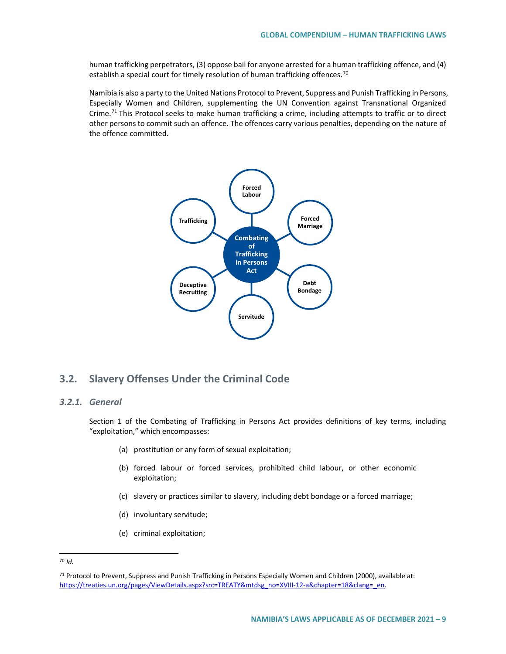human trafficking perpetrators, (3) oppose bail for anyone arrested for a human trafficking offence, and (4) establish a special court for timely resolution of human trafficking offences.<sup>[70](#page-8-0)</sup>

Namibia is also a party to the United Nations Protocol to Prevent, Suppress and Punish Trafficking in Persons, Especially Women and Children, supplementing the UN Convention against Transnational Organized Crime.<sup>[71](#page-8-1)</sup> This Protocol seeks to make human trafficking a crime, including attempts to traffic or to direct other persons to commit such an offence. The offences carry various penalties, depending on the nature of the offence committed.



# **3.2. Slavery Offenses Under the Criminal Code**

# *3.2.1. General*

Section 1 of the Combating of Trafficking in Persons Act provides definitions of key terms, including "exploitation," which encompasses:

- (a) prostitution or any form of sexual exploitation;
- (b) forced labour or forced services, prohibited child labour, or other economic exploitation;
- (c) slavery or practices similar to slavery, including debt bondage or a forced marriage;
- (d) involuntary servitude;
- (e) criminal exploitation;

<span id="page-8-0"></span> <sup>70</sup> *Id.*

<span id="page-8-1"></span><sup>71</sup> Protocol to Prevent, Suppress and Punish Trafficking in Persons Especially Women and Children (2000), available at: https://treaties.un.org/pages/ViewDetails.aspx?src=TREATY&mtdsg\_no=XVIII-12-a&chapter=18&clang=\_en.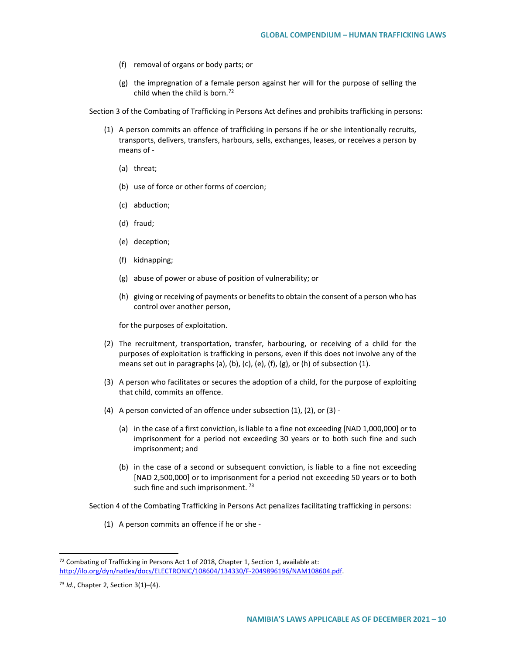- (f) removal of organs or body parts; or
- (g) the impregnation of a female person against her will for the purpose of selling the child when the child is born.<sup>[72](#page-9-0)</sup>

Section 3 of the Combating of Trafficking in Persons Act defines and prohibits trafficking in persons:

- (1) A person commits an offence of trafficking in persons if he or she intentionally recruits, transports, delivers, transfers, harbours, sells, exchanges, leases, or receives a person by means of -
	- (a) threat;
	- (b) use of force or other forms of coercion;
	- (c) abduction;
	- (d) fraud;
	- (e) deception;
	- (f) kidnapping;
	- (g) abuse of power or abuse of position of vulnerability; or
	- (h) giving or receiving of payments or benefits to obtain the consent of a person who has control over another person,

for the purposes of exploitation.

- (2) The recruitment, transportation, transfer, harbouring, or receiving of a child for the purposes of exploitation is trafficking in persons, even if this does not involve any of the means set out in paragraphs (a), (b), (c), (e), (f), (g), or (h) of subsection (1).
- (3) A person who facilitates or secures the adoption of a child, for the purpose of exploiting that child, commits an offence.
- (4) A person convicted of an offence under subsection (1), (2), or (3)
	- (a) in the case of a first conviction, is liable to a fine not exceeding [NAD 1,000,000] or to imprisonment for a period not exceeding 30 years or to both such fine and such imprisonment; and
	- (b) in the case of a second or subsequent conviction, is liable to a fine not exceeding [NAD 2,500,000] or to imprisonment for a period not exceeding 50 years or to both such fine and such imprisonment.  $73$

Section 4 of the Combating Trafficking in Persons Act penalizes facilitating trafficking in persons:

(1) A person commits an offence if he or she -

<span id="page-9-0"></span> <sup>72</sup> Combating of Trafficking in Persons Act 1 of 2018, Chapter 1, Section 1, available at: [http://ilo.org/dyn/natlex/docs/ELECTRONIC/108604/134330/F-2049896196/NAM108604.pdf.](http://ilo.org/dyn/natlex/docs/ELECTRONIC/108604/134330/F-2049896196/NAM108604.pdf)

<span id="page-9-1"></span><sup>73</sup> *Id.*, Chapter 2, Section 3(1)–(4).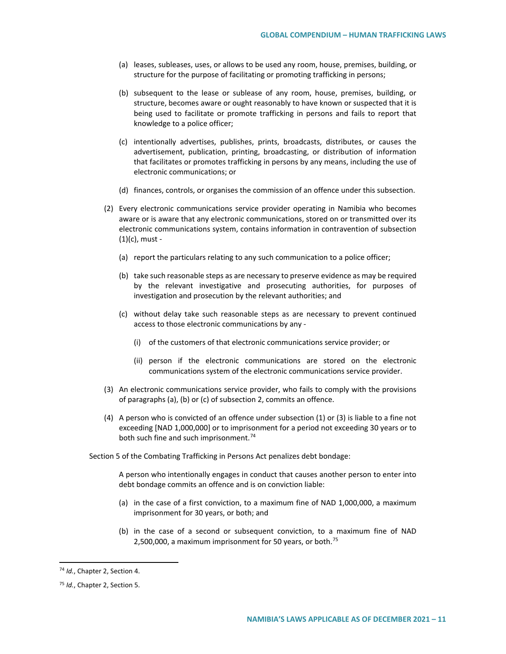- (a) leases, subleases, uses, or allows to be used any room, house, premises, building, or structure for the purpose of facilitating or promoting trafficking in persons;
- (b) subsequent to the lease or sublease of any room, house, premises, building, or structure, becomes aware or ought reasonably to have known or suspected that it is being used to facilitate or promote trafficking in persons and fails to report that knowledge to a police officer;
- (c) intentionally advertises, publishes, prints, broadcasts, distributes, or causes the advertisement, publication, printing, broadcasting, or distribution of information that facilitates or promotes trafficking in persons by any means, including the use of electronic communications; or
- (d) finances, controls, or organises the commission of an offence under this subsection.
- (2) Every electronic communications service provider operating in Namibia who becomes aware or is aware that any electronic communications, stored on or transmitted over its electronic communications system, contains information in contravention of subsection (1)(c), must -
	- (a) report the particulars relating to any such communication to a police officer;
	- (b) take such reasonable steps as are necessary to preserve evidence as may be required by the relevant investigative and prosecuting authorities, for purposes of investigation and prosecution by the relevant authorities; and
	- (c) without delay take such reasonable steps as are necessary to prevent continued access to those electronic communications by any -
		- (i) of the customers of that electronic communications service provider; or
		- (ii) person if the electronic communications are stored on the electronic communications system of the electronic communications service provider.
- (3) An electronic communications service provider, who fails to comply with the provisions of paragraphs (a), (b) or (c) of subsection 2, commits an offence.
- (4) A person who is convicted of an offence under subsection (1) or (3) is liable to a fine not exceeding [NAD 1,000,000] or to imprisonment for a period not exceeding 30 years or to both such fine and such imprisonment.<sup>[74](#page-10-0)</sup>

Section 5 of the Combating Trafficking in Persons Act penalizes debt bondage:

A person who intentionally engages in conduct that causes another person to enter into debt bondage commits an offence and is on conviction liable:

- (a) in the case of a first conviction, to a maximum fine of NAD 1,000,000, a maximum imprisonment for 30 years, or both; and
- (b) in the case of a second or subsequent conviction, to a maximum fine of NAD 2,500,000, a maximum imprisonment for 50 years, or both.<sup>[75](#page-10-1)</sup>

<span id="page-10-0"></span> <sup>74</sup> *Id.*, Chapter 2, Section 4.

<span id="page-10-1"></span><sup>75</sup> *Id.*, Chapter 2, Section 5.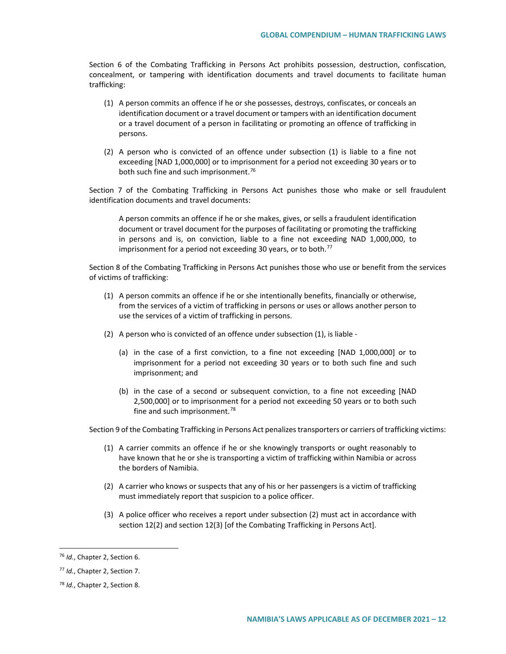Section 6 of the Combating Trafficking in Persons Act prohibits possession, destruction, confiscation, concealment, or tampering with identification documents and travel documents to facilitate human trafficking:

- (1) A person commits an offence if he or she possesses, destroys, confiscates, or conceals an identification document or a travel document or tampers with an identification document or a travel document of a person in facilitating or promoting an offence of trafficking in persons.
- (2) A person who is convicted of an offence under subsection (1) is liable to a fine not exceeding [NAD 1,000,000] or to imprisonment for a period not exceeding 30 years or to both such fine and such imprisonment.<sup>[76](#page-11-0)</sup>

Section 7 of the Combating Trafficking in Persons Act punishes those who make or sell fraudulent identification documents and travel documents:

A person commits an offence if he or she makes, gives, or sells a fraudulent identification document or travel document for the purposes of facilitating or promoting the trafficking in persons and is, on conviction, liable to a fine not exceeding NAD 1,000,000, to imprisonment for a period not exceeding 30 years, or to both.<sup>[77](#page-11-1)</sup>

Section 8 of the Combating Trafficking in Persons Act punishes those who use or benefit from the services of victims of trafficking:

- (1) A person commits an offence if he or she intentionally benefits, financially or otherwise, from the services of a victim of trafficking in persons or uses or allows another person to use the services of a victim of trafficking in persons.
- (2) A person who is convicted of an offence under subsection (1), is liable
	- (a) in the case of a first conviction, to a fine not exceeding [NAD 1,000,000] or to imprisonment for a period not exceeding 30 years or to both such fine and such imprisonment; and
	- (b) in the case of a second or subsequent conviction, to a fine not exceeding [NAD 2,500,000] or to imprisonment for a period not exceeding 50 years or to both such fine and such imprisonment.<sup>[78](#page-11-2)</sup>

Section 9 of the Combating Trafficking in Persons Act penalizes transporters or carriers of trafficking victims:

- (1) A carrier commits an offence if he or she knowingly transports or ought reasonably to have known that he or she is transporting a victim of trafficking within Namibia or across the borders of Namibia.
- (2) A carrier who knows or suspects that any of his or her passengers is a victim of trafficking must immediately report that suspicion to a police officer.
- (3) A police officer who receives a report under subsection (2) must act in accordance with section 12(2) and section 12(3) [of the Combating Trafficking in Persons Act].

<span id="page-11-0"></span> <sup>76</sup> *Id.*, Chapter 2, Section 6.

<span id="page-11-1"></span><sup>77</sup> *Id.*, Chapter 2, Section 7.

<span id="page-11-2"></span><sup>78</sup> *Id.*, Chapter 2, Section 8.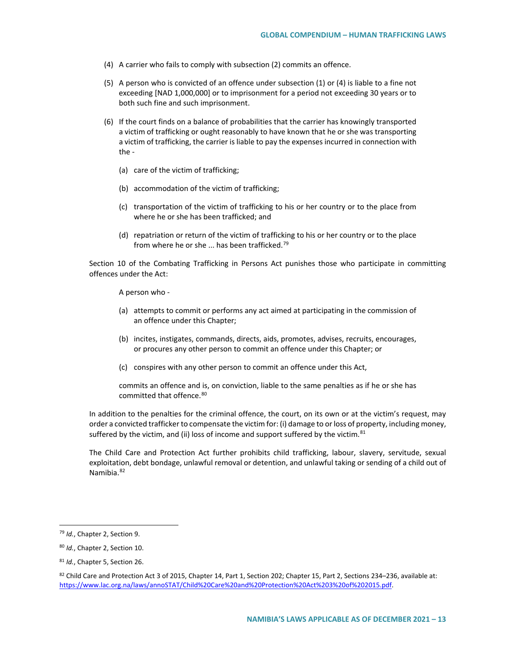- (4) A carrier who fails to comply with subsection (2) commits an offence.
- (5) A person who is convicted of an offence under subsection (1) or (4) is liable to a fine not exceeding [NAD 1,000,000] or to imprisonment for a period not exceeding 30 years or to both such fine and such imprisonment.
- (6) If the court finds on a balance of probabilities that the carrier has knowingly transported a victim of trafficking or ought reasonably to have known that he or she was transporting a victim of trafficking, the carrier is liable to pay the expenses incurred in connection with the -
	- (a) care of the victim of trafficking;
	- (b) accommodation of the victim of trafficking;
	- (c) transportation of the victim of trafficking to his or her country or to the place from where he or she has been trafficked; and
	- (d) repatriation or return of the victim of trafficking to his or her country or to the place from where he or she ... has been trafficked.<sup>[79](#page-12-0)</sup>

Section 10 of the Combating Trafficking in Persons Act punishes those who participate in committing offences under the Act:

A person who -

- (a) attempts to commit or performs any act aimed at participating in the commission of an offence under this Chapter;
- (b) incites, instigates, commands, directs, aids, promotes, advises, recruits, encourages, or procures any other person to commit an offence under this Chapter; or
- (c) conspires with any other person to commit an offence under this Act,

commits an offence and is, on conviction, liable to the same penalties as if he or she has committed that offence.<sup>[80](#page-12-1)</sup>

In addition to the penalties for the criminal offence, the court, on its own or at the victim's request, may order a convicted trafficker to compensate the victim for: (i) damage to or loss of property, including money, suffered by the victim, and (ii) loss of income and support suffered by the victim. $81$ 

The Child Care and Protection Act further prohibits child trafficking, labour, slavery, servitude, sexual exploitation, debt bondage, unlawful removal or detention, and unlawful taking or sending of a child out of Namibia.<sup>[82](#page-12-3)</sup>

<span id="page-12-0"></span> <sup>79</sup> *Id.*, Chapter 2, Section 9.

<span id="page-12-1"></span><sup>80</sup> *Id.*, Chapter 2, Section 10.

<span id="page-12-2"></span><sup>81</sup> *Id.*, Chapter 5, Section 26.

<span id="page-12-3"></span><sup>82</sup> Child Care and Protection Act 3 of 2015, Chapter 14, Part 1, Section 202; Chapter 15, Part 2, Sections 234–236, available at: [https://www.lac.org.na/laws/annoSTAT/Child%20Care%20and%20Protection%20Act%203%20of%202015.pdf.](https://www.lac.org.na/laws/annoSTAT/Child%20Care%20and%20Protection%20Act%203%20of%202015.pdf)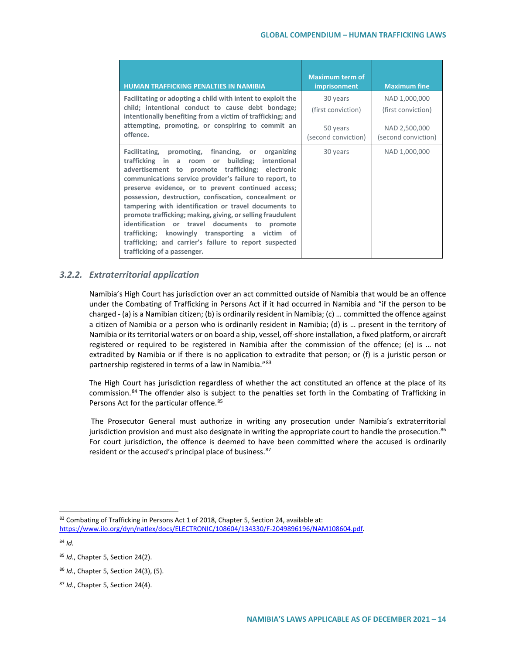| <b>HUMAN TRAFFICKING PENALTIES IN NAMIBIA</b>                                                                                                                                                                                                                                                                                                                                                                                                                                                                                                                                                                                                              | <b>Maximum term of</b><br>imprisonment | <b>Maximum fine</b>                  |
|------------------------------------------------------------------------------------------------------------------------------------------------------------------------------------------------------------------------------------------------------------------------------------------------------------------------------------------------------------------------------------------------------------------------------------------------------------------------------------------------------------------------------------------------------------------------------------------------------------------------------------------------------------|----------------------------------------|--------------------------------------|
| Facilitating or adopting a child with intent to exploit the<br>child; intentional conduct to cause debt bondage;<br>intentionally benefiting from a victim of trafficking; and                                                                                                                                                                                                                                                                                                                                                                                                                                                                             | 30 years<br>(first conviction)         | NAD 1,000,000<br>(first conviction)  |
| attempting, promoting, or conspiring to commit an<br>offence.                                                                                                                                                                                                                                                                                                                                                                                                                                                                                                                                                                                              | 50 years<br>(second conviction)        | NAD 2,500,000<br>(second conviction) |
| Facilitating, promoting, financing, or<br>organizing<br>trafficking in a room or building;<br>intentional<br>advertisement to promote trafficking; electronic<br>communications service provider's failure to report, to<br>preserve evidence, or to prevent continued access;<br>possession, destruction, confiscation, concealment or<br>tampering with identification or travel documents to<br>promote trafficking; making, giving, or selling fraudulent<br>identification or travel documents to promote<br>trafficking; knowingly transporting a victim of<br>trafficking; and carrier's failure to report suspected<br>trafficking of a passenger. | 30 years                               | NAD 1,000,000                        |

# *3.2.2. Extraterritorial application*

Namibia's High Court has jurisdiction over an act committed outside of Namibia that would be an offence under the Combating of Trafficking in Persons Act if it had occurred in Namibia and "if the person to be charged - (a) is a Namibian citizen; (b) is ordinarily resident in Namibia; (c) … committed the offence against a citizen of Namibia or a person who is ordinarily resident in Namibia; (d) is … present in the territory of Namibia or its territorial waters or on board a ship, vessel, off-shore installation, a fixed platform, or aircraft registered or required to be registered in Namibia after the commission of the offence; (e) is … not extradited by Namibia or if there is no application to extradite that person; or (f) is a juristic person or partnership registered in terms of a law in Namibia."[83](#page-13-0)

The High Court has jurisdiction regardless of whether the act constituted an offence at the place of its commission.<sup>[84](#page-13-1)</sup> The offender also is subject to the penalties set forth in the Combating of Trafficking in Persons Act for the particular offence.<sup>[85](#page-13-2)</sup>

The Prosecutor General must authorize in writing any prosecution under Namibia's extraterritorial jurisdiction provision and must also designate in writing the appropriate court to handle the prosecution.<sup>86</sup> For court jurisdiction, the offence is deemed to have been committed where the accused is ordinarily resident or the accused's principal place of business.<sup>[87](#page-13-4)</sup>

<span id="page-13-0"></span><sup>83</sup> Combating of Trafficking in Persons Act 1 of 2018, Chapter 5, Section 24, available at:

[https://www.ilo.org/dyn/natlex/docs/ELECTRONIC/108604/134330/F-2049896196/NAM108604.pdf.](https://www.ilo.org/dyn/natlex/docs/ELECTRONIC/108604/134330/F-2049896196/NAM108604.pdf)

<span id="page-13-1"></span><sup>84</sup> *Id.*

<span id="page-13-2"></span><sup>85</sup> *Id.*, Chapter 5, Section 24(2).

<span id="page-13-3"></span><sup>86</sup> *Id.*, Chapter 5, Section 24(3), (5).

<span id="page-13-4"></span><sup>87</sup> *Id.*, Chapter 5, Section 24(4).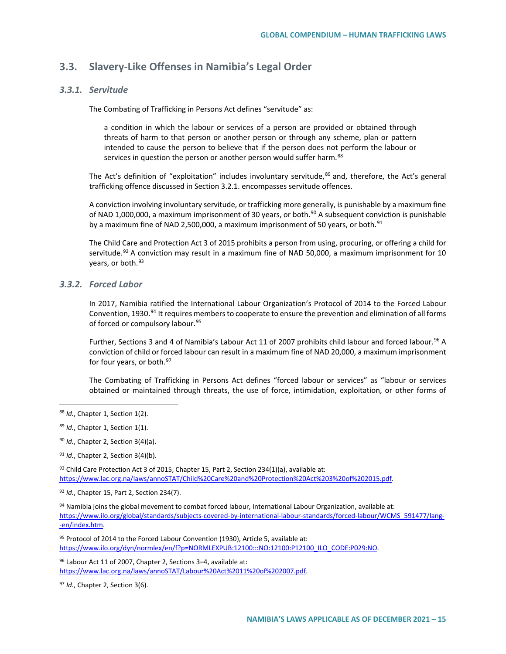# **3.3. Slavery-Like Offenses in Namibia's Legal Order**

### *3.3.1. Servitude*

The Combating of Trafficking in Persons Act defines "servitude" as:

a condition in which the labour or services of a person are provided or obtained through threats of harm to that person or another person or through any scheme, plan or pattern intended to cause the person to believe that if the person does not perform the labour or services in question the person or another person would suffer harm.<sup>[88](#page-14-0)</sup>

The Act's definition of "exploitation" includes involuntary servitude, $89$  and, therefore, the Act's general trafficking offence discussed in Section 3.2.1. encompasses servitude offences.

A conviction involving involuntary servitude, or trafficking more generally, is punishable by a maximum fine of NAD 1,000,000, a maximum imprisonment of 30 years, or both.<sup>[90](#page-14-2)</sup> A subsequent conviction is punishable by a maximum fine of NAD 2,500,000, a maximum imprisonment of 50 years, or both.<sup>[91](#page-14-3)</sup>

The Child Care and Protection Act 3 of 2015 prohibits a person from using, procuring, or offering a child for servitude.<sup>[92](#page-14-4)</sup> A conviction may result in a maximum fine of NAD 50,000, a maximum imprisonment for 10 years, or both.<sup>[93](#page-14-5)</sup>

## *3.3.2. Forced Labor*

In 2017, Namibia ratified the International Labour Organization's Protocol of 2014 to the Forced Labour Convention, 1930.<sup>[94](#page-14-6)</sup> It requires members to cooperate to ensure the prevention and elimination of all forms of forced or compulsory labour.<sup>[95](#page-14-7)</sup>

Further, Sections 3 and 4 of Namibia's Labour Act 11 of 2007 prohibits child labour and forced labour.<sup>[96](#page-14-8)</sup> A conviction of child or forced labour can result in a maximum fine of NAD 20,000, a maximum imprisonment for four years, or both.<sup>[97](#page-14-9)</sup>

The Combating of Trafficking in Persons Act defines "forced labour or services" as "labour or services obtained or maintained through threats, the use of force, intimidation, exploitation, or other forms of

<span id="page-14-4"></span> $92$  Child Care Protection Act 3 of 2015, Chapter 15, Part 2, Section 234(1)(a), available at: [https://www.lac.org.na/laws/annoSTAT/Child%20Care%20and%20Protection%20Act%203%20of%202015.pdf.](https://www.lac.org.na/laws/annoSTAT/Child%20Care%20and%20Protection%20Act%203%20of%202015.pdf)

<span id="page-14-5"></span><sup>93</sup> *Id.*, Chapter 15, Part 2, Section 234(7).

<span id="page-14-6"></span>94 Namibia joins the global movement to combat forced labour, International Labour Organization, available at: [https://www.ilo.org/global/standards/subjects-covered-by-international-labour-standards/forced-labour/WCMS\\_591477/lang-](https://www.ilo.org/global/standards/subjects-covered-by-international-labour-standards/forced-labour/WCMS_591477/lang--en/index.htm) [-en/index.htm.](https://www.ilo.org/global/standards/subjects-covered-by-international-labour-standards/forced-labour/WCMS_591477/lang--en/index.htm) 

<span id="page-14-7"></span>95 Protocol of 2014 to the Forced Labour Convention (1930), Article 5, available at: https://www.ilo.org/dyn/normlex/en/f?p=NORMLEXPUB:12100:::NO:12100:P12100\_ILO\_CODE:P029:NO.

<span id="page-14-8"></span>96 Labour Act 11 of 2007, Chapter 2, Sections 3-4, available at: [https://www.lac.org.na/laws/annoSTAT/Labour%20Act%2011%20of%202007.pdf.](https://www.lac.org.na/laws/annoSTAT/Labour%20Act%2011%20of%202007.pdf)

<span id="page-14-9"></span><sup>97</sup> *Id.*, Chapter 2, Section 3(6).

<span id="page-14-0"></span> <sup>88</sup> *Id.*, Chapter 1, Section 1(2).

<span id="page-14-1"></span><sup>89</sup> *Id.*, Chapter 1, Section 1(1).

<span id="page-14-2"></span><sup>90</sup> *Id.*, Chapter 2, Section 3(4)(a).

<span id="page-14-3"></span><sup>91</sup> *Id.*, Chapter 2, Section 3(4)(b).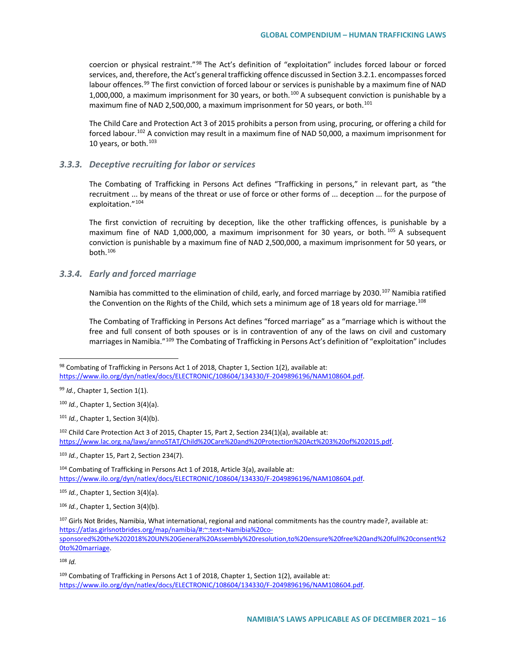coercion or physical restraint."[98](#page-15-0) The Act's definition of "exploitation" includes forced labour or forced services, and, therefore, the Act's general trafficking offence discussed in Section 3.2.1. encompasses forced labour offences.<sup>[99](#page-15-1)</sup> The first conviction of forced labour or services is punishable by a maximum fine of NAD 1,000,000, a maximum imprisonment for 30 years, or both.<sup>[100](#page-15-2)</sup> A subsequent conviction is punishable by a maximum fine of NAD 2,500,000, a maximum imprisonment for 50 years, or both.<sup>[101](#page-15-3)</sup>

The Child Care and Protection Act 3 of 2015 prohibits a person from using, procuring, or offering a child for forced labour.[102](#page-15-4) A conviction may result in a maximum fine of NAD 50,000, a maximum imprisonment for 10 years, or both.<sup>[103](#page-15-5)</sup>

### *3.3.3. Deceptive recruiting for labor or services*

The Combating of Trafficking in Persons Act defines "Trafficking in persons," in relevant part, as "the recruitment ... by means of the threat or use of force or other forms of ... deception ... for the purpose of exploitation."[104](#page-15-6)

The first conviction of recruiting by deception, like the other trafficking offences, is punishable by a maximum fine of NAD 1,000,000, a maximum imprisonment for 30 years, or both.<sup>[105](#page-15-7)</sup> A subsequent conviction is punishable by a maximum fine of NAD 2,500,000, a maximum imprisonment for 50 years, or both. $106$ 

## *3.3.4. Early and forced marriage*

Namibia has committed to the elimination of child, early, and forced marriage by 2030.<sup>[107](#page-15-9)</sup> Namibia ratified the Convention on the Rights of the Child, which sets a minimum age of 18 years old for marriage.<sup>[108](#page-15-10)</sup>

The Combating of Trafficking in Persons Act defines "forced marriage" as a "marriage which is without the free and full consent of both spouses or is in contravention of any of the laws on civil and customary marriages in Namibia."[109](#page-15-11) The Combating of Trafficking in Persons Act's definition of "exploitation" includes

<span id="page-15-6"></span><sup>104</sup> Combating of Trafficking in Persons Act 1 of 2018, Article 3(a), available at: [https://www.ilo.org/dyn/natlex/docs/ELECTRONIC/108604/134330/F-2049896196/NAM108604.pdf.](https://www.ilo.org/dyn/natlex/docs/ELECTRONIC/108604/134330/F-2049896196/NAM108604.pdf)

<span id="page-15-7"></span><sup>105</sup> *Id.*, Chapter 1, Section 3(4)(a).

<span id="page-15-8"></span><sup>106</sup> *Id.*, Chapter 1, Section 3(4)(b).

<span id="page-15-10"></span> $108$  *Id.* 

<span id="page-15-0"></span><sup>98</sup> Combating of Trafficking in Persons Act 1 of 2018, Chapter 1, Section 1(2), available at: [https://www.ilo.org/dyn/natlex/docs/ELECTRONIC/108604/134330/F-2049896196/NAM108604.pdf.](https://www.ilo.org/dyn/natlex/docs/ELECTRONIC/108604/134330/F-2049896196/NAM108604.pdf)

<span id="page-15-1"></span><sup>99</sup> *Id.*, Chapter 1, Section 1(1).

<span id="page-15-2"></span><sup>100</sup> *Id.*, Chapter 1, Section 3(4)(a).

<span id="page-15-3"></span><sup>101</sup> *Id.*, Chapter 1, Section 3(4)(b).

<span id="page-15-4"></span><sup>&</sup>lt;sup>102</sup> Child Care Protection Act 3 of 2015, Chapter 15, Part 2, Section 234(1)(a), available at: [https://www.lac.org.na/laws/annoSTAT/Child%20Care%20and%20Protection%20Act%203%20of%202015.pdf.](https://www.lac.org.na/laws/annoSTAT/Child%20Care%20and%20Protection%20Act%203%20of%202015.pdf)

<span id="page-15-5"></span><sup>103</sup> *Id.*, Chapter 15, Part 2, Section 234(7).

<span id="page-15-9"></span> $107$  Girls Not Brides, Namibia, What international, regional and national commitments has the country made?, available at: [https://atlas.girlsnotbrides.org/map/namibia/#:~:text=Namibia%20co](https://atlas.girlsnotbrides.org/map/namibia/#:%7E:text=Namibia%20co-sponsored%20the%202018%20UN%20General%20Assembly%20resolution,to%20ensure%20free%20and%20full%20consent%20to%20marriage)[sponsored%20the%202018%20UN%20General%20Assembly%20resolution,to%20ensure%20free%20and%20full%20consent%2](https://atlas.girlsnotbrides.org/map/namibia/#:%7E:text=Namibia%20co-sponsored%20the%202018%20UN%20General%20Assembly%20resolution,to%20ensure%20free%20and%20full%20consent%20to%20marriage) [0to%20marriage.](https://atlas.girlsnotbrides.org/map/namibia/#:%7E:text=Namibia%20co-sponsored%20the%202018%20UN%20General%20Assembly%20resolution,to%20ensure%20free%20and%20full%20consent%20to%20marriage) 

<span id="page-15-11"></span> $109$  Combating of Trafficking in Persons Act 1 of 2018, Chapter 1, Section 1(2), available at: [https://www.ilo.org/dyn/natlex/docs/ELECTRONIC/108604/134330/F-2049896196/NAM108604.pdf.](https://www.ilo.org/dyn/natlex/docs/ELECTRONIC/108604/134330/F-2049896196/NAM108604.pdf)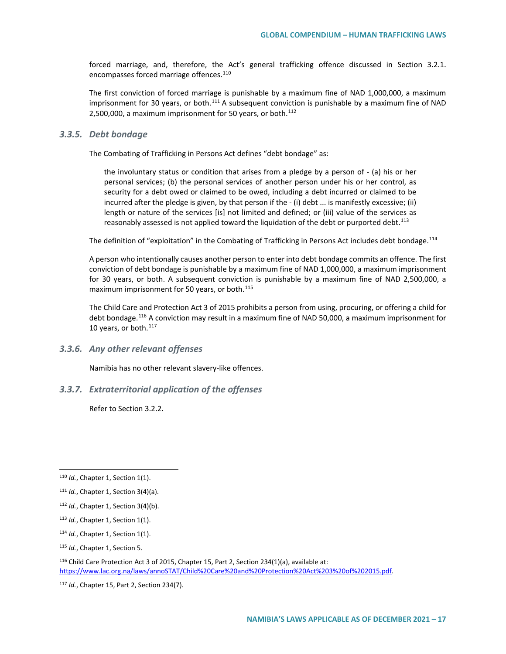forced marriage, and, therefore, the Act's general trafficking offence discussed in Section 3.2.1. encompasses forced marriage offences.<sup>[110](#page-16-0)</sup>

The first conviction of forced marriage is punishable by a maximum fine of NAD 1,000,000, a maximum imprisonment for 30 years, or both. $111$  A subsequent conviction is punishable by a maximum fine of NAD 2,500,000, a maximum imprisonment for 50 years, or both. $112$ 

#### *3.3.5. Debt bondage*

The Combating of Trafficking in Persons Act defines "debt bondage" as:

the involuntary status or condition that arises from a pledge by a person of - (a) his or her personal services; (b) the personal services of another person under his or her control, as security for a debt owed or claimed to be owed, including a debt incurred or claimed to be incurred after the pledge is given, by that person if the - (i) debt ... is manifestly excessive; (ii) length or nature of the services [is] not limited and defined; or (iii) value of the services as reasonably assessed is not applied toward the liquidation of the debt or purported debt.<sup>[113](#page-16-3)</sup>

The definition of "exploitation" in the Combating of Trafficking in Persons Act includes debt bondage.<sup>114</sup>

A person who intentionally causes another person to enter into debt bondage commits an offence. The first conviction of debt bondage is punishable by a maximum fine of NAD 1,000,000, a maximum imprisonment for 30 years, or both. A subsequent conviction is punishable by a maximum fine of NAD 2,500,000, a maximum imprisonment for 50 years, or both.<sup>[115](#page-16-5)</sup>

The Child Care and Protection Act 3 of 2015 prohibits a person from using, procuring, or offering a child for debt bondage.<sup>[116](#page-16-6)</sup> A conviction may result in a maximum fine of NAD 50,000, a maximum imprisonment for 10 years, or both.<sup>[117](#page-16-7)</sup>

*3.3.6. Any other relevant offenses*

Namibia has no other relevant slavery-like offences.

## *3.3.7. Extraterritorial application of the offenses*

Refer to Section 3.2.2.

- <span id="page-16-3"></span><sup>113</sup> *Id.*, Chapter 1, Section 1(1).
- <span id="page-16-4"></span><sup>114</sup> *Id.*, Chapter 1, Section 1(1).

<span id="page-16-0"></span> <sup>110</sup> *Id.*, Chapter 1, Section 1(1).

<span id="page-16-1"></span><sup>111</sup> *Id.*, Chapter 1, Section 3(4)(a).

<span id="page-16-2"></span><sup>112</sup> *Id.*, Chapter 1, Section 3(4)(b).

<span id="page-16-5"></span><sup>115</sup> *Id.*, Chapter 1, Section 5.

<span id="page-16-6"></span><sup>&</sup>lt;sup>116</sup> Child Care Protection Act 3 of 2015, Chapter 15, Part 2, Section 234(1)(a), available at: [https://www.lac.org.na/laws/annoSTAT/Child%20Care%20and%20Protection%20Act%203%20of%202015.pdf.](https://www.lac.org.na/laws/annoSTAT/Child%20Care%20and%20Protection%20Act%203%20of%202015.pdf)

<span id="page-16-7"></span><sup>117</sup> *Id.*, Chapter 15, Part 2, Section 234(7).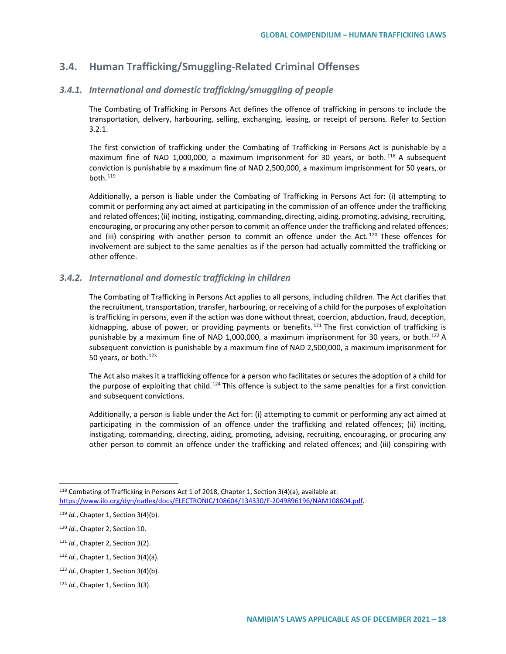# **3.4. Human Trafficking/Smuggling-Related Criminal Offenses**

## *3.4.1. International and domestic trafficking/smuggling of people*

The Combating of Trafficking in Persons Act defines the offence of trafficking in persons to include the transportation, delivery, harbouring, selling, exchanging, leasing, or receipt of persons. Refer to Section 3.2.1.

The first conviction of trafficking under the Combating of Trafficking in Persons Act is punishable by a maximum fine of NAD 1,000,000, a maximum imprisonment for 30 years, or both.<sup>[118](#page-17-0)</sup> A subsequent conviction is punishable by a maximum fine of NAD 2,500,000, a maximum imprisonment for 50 years, or both.[119](#page-17-1)

Additionally, a person is liable under the Combating of Trafficking in Persons Act for: (i) attempting to commit or performing any act aimed at participating in the commission of an offence under the trafficking and related offences; (ii) inciting, instigating, commanding, directing, aiding, promoting, advising, recruiting, encouraging, or procuring any other person to commit an offence under the trafficking and related offences; and (iii) conspiring with another person to commit an offence under the Act.<sup>[120](#page-17-2)</sup> These offences for involvement are subject to the same penalties as if the person had actually committed the trafficking or other offence.

### *3.4.2. International and domestic trafficking in children*

The Combating of Trafficking in Persons Act applies to all persons, including children. The Act clarifies that the recruitment, transportation, transfer, harbouring, or receiving of a child for the purposes of exploitation is trafficking in persons, even if the action was done without threat, coercion, abduction, fraud, deception, kidnapping, abuse of power, or providing payments or benefits.<sup>[121](#page-17-3)</sup> The first conviction of trafficking is punishable by a maximum fine of NAD 1,000,000, a maximum imprisonment for 30 years, or both.<sup>[122](#page-17-4)</sup> A subsequent conviction is punishable by a maximum fine of NAD 2,500,000, a maximum imprisonment for 50 years, or both.<sup>[123](#page-17-5)</sup>

The Act also makes it a trafficking offence for a person who facilitates or secures the adoption of a child for the purpose of exploiting that child.<sup>[124](#page-17-6)</sup> This offence is subject to the same penalties for a first conviction and subsequent convictions.

Additionally, a person is liable under the Act for: (i) attempting to commit or performing any act aimed at participating in the commission of an offence under the trafficking and related offences; (ii) inciting, instigating, commanding, directing, aiding, promoting, advising, recruiting, encouraging, or procuring any other person to commit an offence under the trafficking and related offences; and (iii) conspiring with

<span id="page-17-0"></span> <sup>118</sup> Combating of Trafficking in Persons Act 1 of 2018, Chapter 1, Section 3(4)(a), available at: [https://www.ilo.org/dyn/natlex/docs/ELECTRONIC/108604/134330/F-2049896196/NAM108604.pdf.](https://www.ilo.org/dyn/natlex/docs/ELECTRONIC/108604/134330/F-2049896196/NAM108604.pdf)

<span id="page-17-1"></span><sup>119</sup> *Id.*, Chapter 1, Section 3(4)(b).

<span id="page-17-2"></span><sup>120</sup> *Id.*, Chapter 2, Section 10.

<span id="page-17-3"></span><sup>121</sup> *Id.*, Chapter 2, Section 3(2).

<span id="page-17-4"></span><sup>122</sup> *Id.*, Chapter 1, Section 3(4)(a).

<span id="page-17-5"></span><sup>123</sup> *Id.*, Chapter 1, Section 3(4)(b).

<span id="page-17-6"></span><sup>124</sup> *Id.*, Chapter 1, Section 3(3).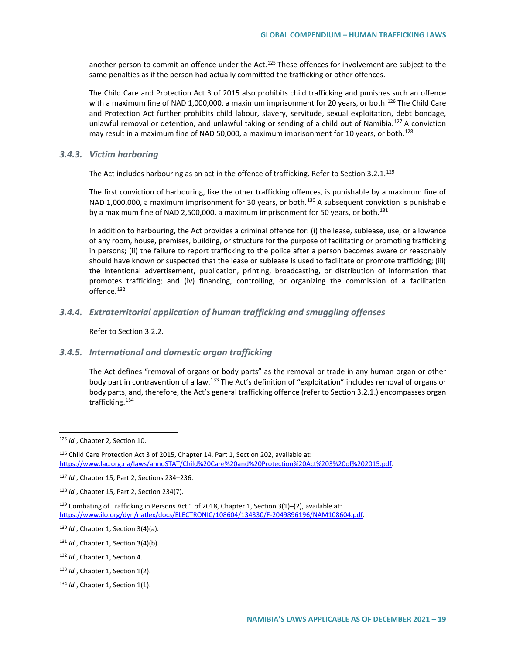another person to commit an offence under the Act.<sup>[125](#page-18-0)</sup> These offences for involvement are subject to the same penalties as if the person had actually committed the trafficking or other offences.

The Child Care and Protection Act 3 of 2015 also prohibits child trafficking and punishes such an offence with a maximum fine of NAD 1,000,000, a maximum imprisonment for 20 years, or both.<sup>[126](#page-18-1)</sup> The Child Care and Protection Act further prohibits child labour, slavery, servitude, sexual exploitation, debt bondage, unlawful removal or detention, and unlawful taking or sending of a child out of Namibia.<sup>[127](#page-18-2)</sup> A conviction may result in a maximum fine of NAD 50,000, a maximum imprisonment for 10 years, or both.<sup>[128](#page-18-3)</sup>

#### *3.4.3. Victim harboring*

The Act includes harbouring as an act in the offence of trafficking. Refer to Section 3.2.1.<sup>[129](#page-18-4)</sup>

The first conviction of harbouring, like the other trafficking offences, is punishable by a maximum fine of NAD 1,000,000, a maximum imprisonment for 30 years, or both.<sup>[130](#page-18-5)</sup> A subsequent conviction is punishable by a maximum fine of NAD 2,500,000, a maximum imprisonment for 50 years, or both.<sup>[131](#page-18-6)</sup>

In addition to harbouring, the Act provides a criminal offence for: (i) the lease, sublease, use, or allowance of any room, house, premises, building, or structure for the purpose of facilitating or promoting trafficking in persons; (ii) the failure to report trafficking to the police after a person becomes aware or reasonably should have known or suspected that the lease or sublease is used to facilitate or promote trafficking; (iii) the intentional advertisement, publication, printing, broadcasting, or distribution of information that promotes trafficking; and (iv) financing, controlling, or organizing the commission of a facilitation offence.<sup>[132](#page-18-7)</sup>

### *3.4.4. Extraterritorial application of human trafficking and smuggling offenses*

Refer to Section 3.2.2.

## *3.4.5. International and domestic organ trafficking*

The Act defines "removal of organs or body parts" as the removal or trade in any human organ or other body part in contravention of a law.[133](#page-18-8) The Act's definition of "exploitation" includes removal of organs or body parts, and, therefore, the Act's general trafficking offence (refer to Section 3.2.1.) encompasses organ trafficking.<sup>[134](#page-18-9)</sup>

<span id="page-18-0"></span> <sup>125</sup> *Id.*, Chapter 2, Section 10.

<span id="page-18-1"></span><sup>126</sup> Child Care Protection Act 3 of 2015, Chapter 14, Part 1, Section 202, available at: [https://www.lac.org.na/laws/annoSTAT/Child%20Care%20and%20Protection%20Act%203%20of%202015.pdf.](https://www.lac.org.na/laws/annoSTAT/Child%20Care%20and%20Protection%20Act%203%20of%202015.pdf)

<span id="page-18-2"></span><sup>127</sup> *Id.*, Chapter 15, Part 2, Sections 234–236.

<span id="page-18-3"></span><sup>128</sup> *Id.*, Chapter 15, Part 2, Section 234(7).

<span id="page-18-4"></span> $129$  Combating of Trafficking in Persons Act 1 of 2018, Chapter 1, Section 3(1)–(2), available at: [https://www.ilo.org/dyn/natlex/docs/ELECTRONIC/108604/134330/F-2049896196/NAM108604.pdf.](https://www.ilo.org/dyn/natlex/docs/ELECTRONIC/108604/134330/F-2049896196/NAM108604.pdf)

<span id="page-18-5"></span><sup>130</sup> *Id.*, Chapter 1, Section 3(4)(a).

<span id="page-18-6"></span><sup>131</sup> *Id.*, Chapter 1, Section 3(4)(b).

<span id="page-18-7"></span><sup>132</sup> *Id.*, Chapter 1, Section 4.

<span id="page-18-8"></span><sup>133</sup> *Id.*, Chapter 1, Section 1(2).

<span id="page-18-9"></span><sup>134</sup> *Id.*, Chapter 1, Section 1(1).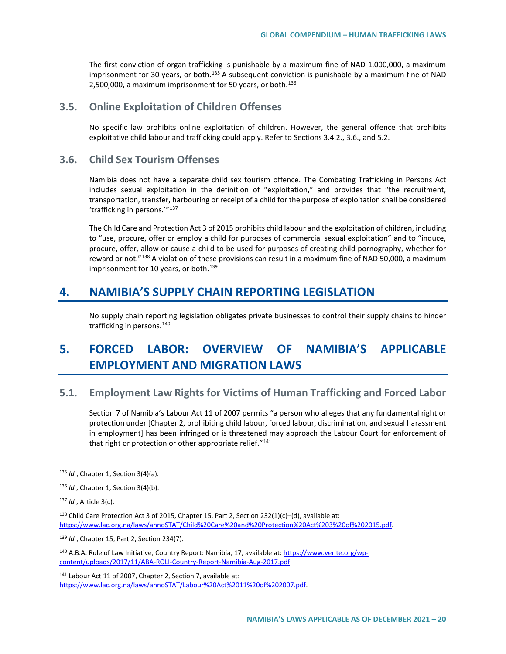The first conviction of organ trafficking is punishable by a maximum fine of NAD 1,000,000, a maximum imprisonment for 30 years, or both.<sup>[135](#page-19-0)</sup> A subsequent conviction is punishable by a maximum fine of NAD 2,500,000, a maximum imprisonment for 50 years, or both.<sup>[136](#page-19-1)</sup>

# **3.5. Online Exploitation of Children Offenses**

No specific law prohibits online exploitation of children. However, the general offence that prohibits exploitative child labour and trafficking could apply. Refer to Sections 3.4.2., 3.6., and 5.2.

# **3.6. Child Sex Tourism Offenses**

Namibia does not have a separate child sex tourism offence. The Combating Trafficking in Persons Act includes sexual exploitation in the definition of "exploitation," and provides that "the recruitment, transportation, transfer, harbouring or receipt of a child for the purpose of exploitation shall be considered 'trafficking in persons.'"[137](#page-19-2)

The Child Care and Protection Act 3 of 2015 prohibits child labour and the exploitation of children, including to "use, procure, offer or employ a child for purposes of commercial sexual exploitation" and to "induce, procure, offer, allow or cause a child to be used for purposes of creating child pornography, whether for reward or not."<sup>[138](#page-19-3)</sup> A violation of these provisions can result in a maximum fine of NAD 50,000, a maximum imprisonment for 10 years, or both.<sup>[139](#page-19-4)</sup>

# **4. NAMIBIA'S SUPPLY CHAIN REPORTING LEGISLATION**

No supply chain reporting legislation obligates private businesses to control their supply chains to hinder trafficking in persons.<sup>[140](#page-19-5)</sup>

# **5. FORCED LABOR: OVERVIEW OF NAMIBIA'S APPLICABLE EMPLOYMENT AND MIGRATION LAWS**

# **5.1. Employment Law Rights for Victims of Human Trafficking and Forced Labor**

Section 7 of Namibia's Labour Act 11 of 2007 permits "a person who alleges that any fundamental right or protection under [Chapter 2, prohibiting child labour, forced labour, discrimination, and sexual harassment in employment] has been infringed or is threatened may approach the Labour Court for enforcement of that right or protection or other appropriate relief." $141$ 

<span id="page-19-6"></span><sup>141</sup> Labour Act 11 of 2007, Chapter 2, Section 7, available at: [https://www.lac.org.na/laws/annoSTAT/Labour%20Act%2011%20of%202007.pdf.](https://www.lac.org.na/laws/annoSTAT/Labour%20Act%2011%20of%202007.pdf)

<span id="page-19-0"></span> <sup>135</sup> *Id.*, Chapter 1, Section 3(4)(a).

<span id="page-19-1"></span><sup>136</sup> *Id.*, Chapter 1, Section 3(4)(b).

<span id="page-19-2"></span><sup>137</sup> *Id.*, Article 3(c).

<span id="page-19-3"></span><sup>138</sup> Child Care Protection Act 3 of 2015, Chapter 15, Part 2, Section 232(1)(c)-(d), available at: [https://www.lac.org.na/laws/annoSTAT/Child%20Care%20and%20Protection%20Act%203%20of%202015.pdf.](https://www.lac.org.na/laws/annoSTAT/Child%20Care%20and%20Protection%20Act%203%20of%202015.pdf)

<span id="page-19-4"></span><sup>139</sup> *Id.*, Chapter 15, Part 2, Section 234(7).

<span id="page-19-5"></span><sup>&</sup>lt;sup>140</sup> A.B.A. Rule of Law Initiative, Country Report: Namibia, 17, available at[: https://www.verite.org/wp](https://www.verite.org/wp-content/uploads/2017/11/ABA-ROLI-Country-Report-Namibia-Aug-2017.pdf)[content/uploads/2017/11/ABA-ROLI-Country-Report-Namibia-Aug-2017.pdf.](https://www.verite.org/wp-content/uploads/2017/11/ABA-ROLI-Country-Report-Namibia-Aug-2017.pdf)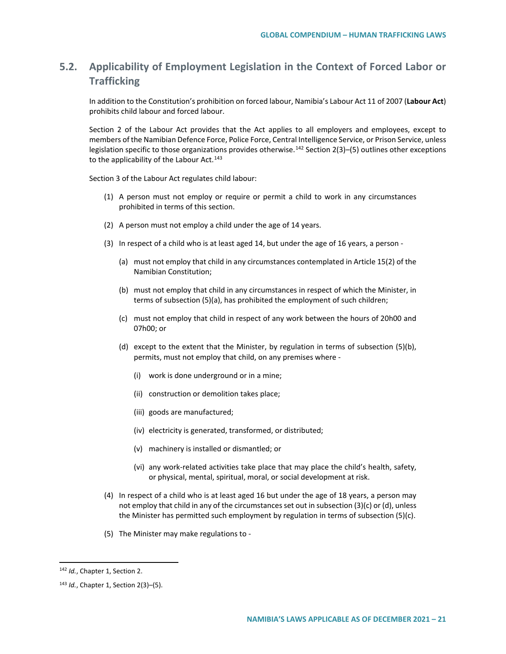# **5.2. Applicability of Employment Legislation in the Context of Forced Labor or Trafficking**

In addition to the Constitution's prohibition on forced labour, Namibia's Labour Act 11 of 2007 (**Labour Act**) prohibits child labour and forced labour.

Section 2 of the Labour Act provides that the Act applies to all employers and employees, except to members of the Namibian Defence Force, Police Force, Central Intelligence Service, or Prison Service, unless legislation specific to those organizations provides otherwise.<sup>[142](#page-20-0)</sup> Section 2(3)–(5) outlines other exceptions to the applicability of the Labour Act. $143$ 

Section 3 of the Labour Act regulates child labour:

- (1) A person must not employ or require or permit a child to work in any circumstances prohibited in terms of this section.
- (2) A person must not employ a child under the age of 14 years.
- (3) In respect of a child who is at least aged 14, but under the age of 16 years, a person
	- (a) must not employ that child in any circumstances contemplated in Article 15(2) of the Namibian Constitution;
	- (b) must not employ that child in any circumstances in respect of which the Minister, in terms of subsection (5)(a), has prohibited the employment of such children;
	- (c) must not employ that child in respect of any work between the hours of 20h00 and 07h00; or
	- (d) except to the extent that the Minister, by regulation in terms of subsection (5)(b), permits, must not employ that child, on any premises where -
		- (i) work is done underground or in a mine;
		- (ii) construction or demolition takes place;
		- (iii) goods are manufactured;
		- (iv) electricity is generated, transformed, or distributed;
		- (v) machinery is installed or dismantled; or
		- (vi) any work-related activities take place that may place the child's health, safety, or physical, mental, spiritual, moral, or social development at risk.
- (4) In respect of a child who is at least aged 16 but under the age of 18 years, a person may not employ that child in any of the circumstances set out in subsection (3)(c) or (d), unless the Minister has permitted such employment by regulation in terms of subsection (5)(c).
- (5) The Minister may make regulations to -

<span id="page-20-0"></span><sup>142</sup> *Id.*, Chapter 1, Section 2.

<span id="page-20-1"></span><sup>143</sup> *Id.*, Chapter 1, Section 2(3)–(5).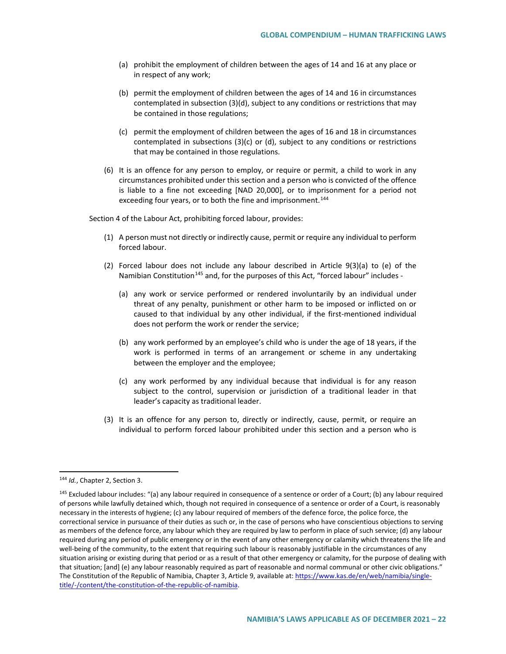- (a) prohibit the employment of children between the ages of 14 and 16 at any place or in respect of any work;
- (b) permit the employment of children between the ages of 14 and 16 in circumstances contemplated in subsection (3)(d), subject to any conditions or restrictions that may be contained in those regulations;
- (c) permit the employment of children between the ages of 16 and 18 in circumstances contemplated in subsections (3)(c) or (d), subject to any conditions or restrictions that may be contained in those regulations.
- (6) It is an offence for any person to employ, or require or permit, a child to work in any circumstances prohibited under this section and a person who is convicted of the offence is liable to a fine not exceeding [NAD 20,000], or to imprisonment for a period not exceeding four years, or to both the fine and imprisonment.<sup>[144](#page-21-0)</sup>

Section 4 of the Labour Act, prohibiting forced labour, provides:

- (1) A person must not directly or indirectly cause, permit or require any individual to perform forced labour.
- (2) Forced labour does not include any labour described in Article 9(3)(a) to (e) of the Namibian Constitution<sup>[145](#page-21-1)</sup> and, for the purposes of this Act, "forced labour" includes -
	- (a) any work or service performed or rendered involuntarily by an individual under threat of any penalty, punishment or other harm to be imposed or inflicted on or caused to that individual by any other individual, if the first-mentioned individual does not perform the work or render the service;
	- (b) any work performed by an employee's child who is under the age of 18 years, if the work is performed in terms of an arrangement or scheme in any undertaking between the employer and the employee;
	- (c) any work performed by any individual because that individual is for any reason subject to the control, supervision or jurisdiction of a traditional leader in that leader's capacity as traditional leader.
- (3) It is an offence for any person to, directly or indirectly, cause, permit, or require an individual to perform forced labour prohibited under this section and a person who is

<span id="page-21-0"></span> <sup>144</sup> *Id.*, Chapter 2, Section 3.

<span id="page-21-1"></span><sup>&</sup>lt;sup>145</sup> Excluded labour includes: "(a) any labour required in consequence of a sentence or order of a Court; (b) any labour required of persons while lawfully detained which, though not required in consequence of a sentence or order of a Court, is reasonably necessary in the interests of hygiene; (c) any labour required of members of the defence force, the police force, the correctional service in pursuance of their duties as such or, in the case of persons who have conscientious objections to serving as members of the defence force, any labour which they are required by law to perform in place of such service; (d) any labour required during any period of public emergency or in the event of any other emergency or calamity which threatens the life and well-being of the community, to the extent that requiring such labour is reasonably justifiable in the circumstances of any situation arising or existing during that period or as a result of that other emergency or calamity, for the purpose of dealing with that situation; [and] (e) any labour reasonably required as part of reasonable and normal communal or other civic obligations." The Constitution of the Republic of Namibia, Chapter 3, Article 9, available at[: https://www.kas.de/en/web/namibia/single](https://www.kas.de/en/web/namibia/single-title/-/content/the-constitution-of-the-republic-of-namibia)[title/-/content/the-constitution-of-the-republic-of-namibia.](https://www.kas.de/en/web/namibia/single-title/-/content/the-constitution-of-the-republic-of-namibia)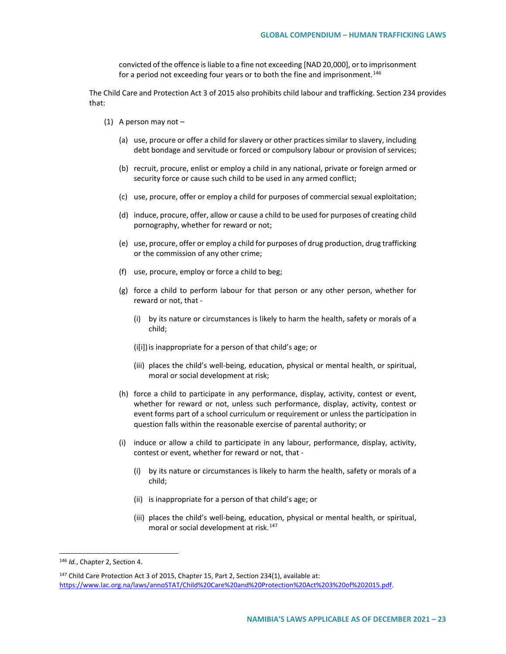convicted of the offence is liable to a fine not exceeding [NAD 20,000], or to imprisonment for a period not exceeding four years or to both the fine and imprisonment.<sup>[146](#page-22-0)</sup>

The Child Care and Protection Act 3 of 2015 also prohibits child labour and trafficking. Section 234 provides that:

- (1) A person may not
	- (a) use, procure or offer a child for slavery or other practices similar to slavery, including debt bondage and servitude or forced or compulsory labour or provision of services;
	- (b) recruit, procure, enlist or employ a child in any national, private or foreign armed or security force or cause such child to be used in any armed conflict;
	- (c) use, procure, offer or employ a child for purposes of commercial sexual exploitation;
	- (d) induce, procure, offer, allow or cause a child to be used for purposes of creating child pornography, whether for reward or not;
	- (e) use, procure, offer or employ a child for purposes of drug production, drug trafficking or the commission of any other crime;
	- (f) use, procure, employ or force a child to beg;
	- (g) force a child to perform labour for that person or any other person, whether for reward or not, that -
		- (i) by its nature or circumstances is likely to harm the health, safety or morals of a child;
		- (i[i]) is inappropriate for a person of that child's age; or
		- (iii) places the child's well-being, education, physical or mental health, or spiritual, moral or social development at risk;
	- (h) force a child to participate in any performance, display, activity, contest or event, whether for reward or not, unless such performance, display, activity, contest or event forms part of a school curriculum or requirement or unless the participation in question falls within the reasonable exercise of parental authority; or
	- (i) induce or allow a child to participate in any labour, performance, display, activity, contest or event, whether for reward or not, that -
		- (i) by its nature or circumstances is likely to harm the health, safety or morals of a child;
		- (ii) is inappropriate for a person of that child's age; or
		- (iii) places the child's well-being, education, physical or mental health, or spiritual, moral or social development at risk.<sup>[147](#page-22-1)</sup>

<span id="page-22-0"></span> <sup>146</sup> *Id.*, Chapter 2, Section 4.

<span id="page-22-1"></span><sup>&</sup>lt;sup>147</sup> Child Care Protection Act 3 of 2015, Chapter 15, Part 2, Section 234(1), available at: [https://www.lac.org.na/laws/annoSTAT/Child%20Care%20and%20Protection%20Act%203%20of%202015.pdf.](https://www.lac.org.na/laws/annoSTAT/Child%20Care%20and%20Protection%20Act%203%20of%202015.pdf)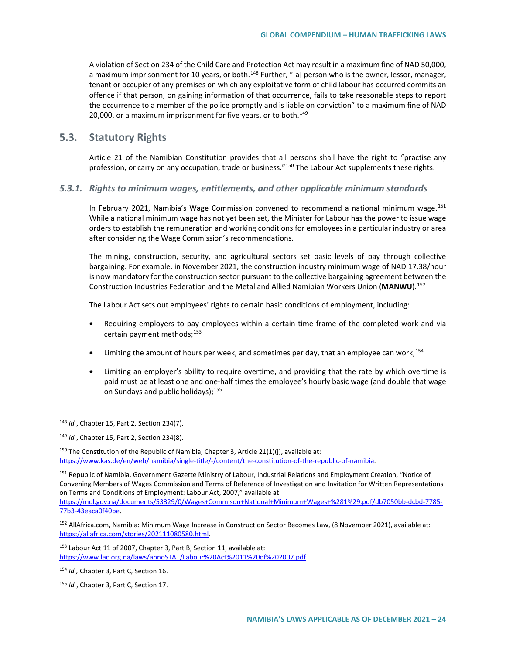A violation of Section 234 of the Child Care and Protection Act may result in a maximum fine of NAD 50,000, a maximum imprisonment for 10 years, or both.<sup>[148](#page-23-0)</sup> Further, "[a] person who is the owner, lessor, manager, tenant or occupier of any premises on which any exploitative form of child labour has occurred commits an offence if that person, on gaining information of that occurrence, fails to take reasonable steps to report the occurrence to a member of the police promptly and is liable on conviction" to a maximum fine of NAD 20,000, or a maximum imprisonment for five years, or to both. $149$ 

# **5.3. Statutory Rights**

Article 21 of the Namibian Constitution provides that all persons shall have the right to "practise any profession, or carry on any occupation, trade or business."<sup>[150](#page-23-2)</sup> The Labour Act supplements these rights.

### *5.3.1. Rights to minimum wages, entitlements, and other applicable minimum standards*

In February 2021, Namibia's Wage Commission convened to recommend a national minimum wage.<sup>[151](#page-23-3)</sup> While a national minimum wage has not yet been set, the Minister for Labour has the power to issue wage orders to establish the remuneration and working conditions for employees in a particular industry or area after considering the Wage Commission's recommendations.

The mining, construction, security, and agricultural sectors set basic levels of pay through collective bargaining. For example, in November 2021, the construction industry minimum wage of NAD 17.38/hour is now mandatory for the construction sector pursuant to the collective bargaining agreement between the Construction Industries Federation and the Metal and Allied Namibian Workers Union (**MANWU**).[152](#page-23-4)

The Labour Act sets out employees' rights to certain basic conditions of employment, including:

- Requiring employers to pay employees within a certain time frame of the completed work and via certain payment methods;<sup>[153](#page-23-5)</sup>
- $\bullet$  Limiting the amount of hours per week, and sometimes per day, that an employee can work;<sup>[154](#page-23-6)</sup>
- Limiting an employer's ability to require overtime, and providing that the rate by which overtime is paid must be at least one and one-half times the employee's hourly basic wage (and double that wage on Sundays and public holidays);<sup>[155](#page-23-7)</sup>

<span id="page-23-0"></span> <sup>148</sup> *Id.*, Chapter 15, Part 2, Section 234(7).

<span id="page-23-1"></span><sup>149</sup> *Id.*, Chapter 15, Part 2, Section 234(8).

<span id="page-23-2"></span><sup>&</sup>lt;sup>150</sup> The Constitution of the Republic of Namibia, Chapter 3, Article 21(1)(j), available at: [https://www.kas.de/en/web/namibia/single-title/-/content/the-constitution-of-the-republic-of-namibia.](https://www.kas.de/en/web/namibia/single-title/-/content/the-constitution-of-the-republic-of-namibia)

<span id="page-23-3"></span><sup>151</sup> Republic of Namibia, Government Gazette Ministry of Labour, Industrial Relations and Employment Creation, "Notice of Convening Members of Wages Commission and Terms of Reference of Investigation and Invitation for Written Representations on Terms and Conditions of Employment: Labour Act, 2007," available at:

[https://mol.gov.na/documents/53329/0/Wages+Commison+National+Minimum+Wages+%281%29.pdf/db7050bb-dcbd-7785-](https://mol.gov.na/documents/53329/0/Wages+Commison+National+Minimum+Wages+%281%29.pdf/db7050bb-dcbd-7785-77b3-43eaca0f40be) [77b3-43eaca0f40be.](https://mol.gov.na/documents/53329/0/Wages+Commison+National+Minimum+Wages+%281%29.pdf/db7050bb-dcbd-7785-77b3-43eaca0f40be)

<span id="page-23-4"></span><sup>152</sup> AllAfrica.com, Namibia: Minimum Wage Increase in Construction Sector Becomes Law, (8 November 2021), available at: [https://allafrica.com/stories/202111080580.html.](https://allafrica.com/stories/202111080580.html) 

<span id="page-23-5"></span><sup>153</sup> Labour Act 11 of 2007, Chapter 3, Part B, Section 11, available at: [https://www.lac.org.na/laws/annoSTAT/Labour%20Act%2011%20of%202007.pdf.](https://www.lac.org.na/laws/annoSTAT/Labour%20Act%2011%20of%202007.pdf)

<span id="page-23-6"></span><sup>154</sup> *Id.,* Chapter 3, Part C, Section 16.

<span id="page-23-7"></span><sup>155</sup> *Id.*, Chapter 3, Part C, Section 17.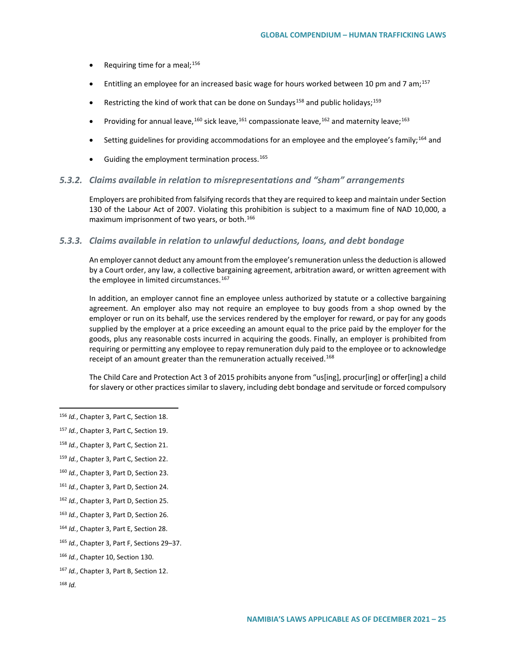- Requiring time for a meal;  $156$
- Entitling an employee for an increased basic wage for hours worked between 10 pm and 7 am;<sup>[157](#page-24-1)</sup>
- Restricting the kind of work that can be done on Sundays<sup>[158](#page-24-2)</sup> and public holidays;<sup>[159](#page-24-3)</sup>
- Providing for annual leave,  $^{160}$  $^{160}$  $^{160}$  sick leave,  $^{161}$  $^{161}$  $^{161}$  compassionate leave,  $^{162}$  $^{162}$  $^{162}$  and maternity leave;  $^{163}$  $^{163}$  $^{163}$
- Setting guidelines for providing accommodations for an employee and the employee's family;<sup>[164](#page-24-8)</sup> and
- $\bullet$  Guiding the employment termination process.<sup>[165](#page-24-9)</sup>

### *5.3.2. Claims available in relation to misrepresentations and "sham" arrangements*

Employers are prohibited from falsifying records that they are required to keep and maintain under Section 130 of the Labour Act of 2007. Violating this prohibition is subject to a maximum fine of NAD 10,000, a maximum imprisonment of two years, or both.<sup>[166](#page-24-10)</sup>

## *5.3.3. Claims available in relation to unlawful deductions, loans, and debt bondage*

An employer cannot deduct any amount from the employee's remuneration unless the deduction is allowed by a Court order, any law, a collective bargaining agreement, arbitration award, or written agreement with the employee in limited circumstances.<sup>[167](#page-24-11)</sup>

In addition, an employer cannot fine an employee unless authorized by statute or a collective bargaining agreement. An employer also may not require an employee to buy goods from a shop owned by the employer or run on its behalf, use the services rendered by the employer for reward, or pay for any goods supplied by the employer at a price exceeding an amount equal to the price paid by the employer for the goods, plus any reasonable costs incurred in acquiring the goods. Finally, an employer is prohibited from requiring or permitting any employee to repay remuneration duly paid to the employee or to acknowledge receipt of an amount greater than the remuneration actually received.<sup>[168](#page-24-12)</sup>

The Child Care and Protection Act 3 of 2015 prohibits anyone from "us[ing], procur[ing] or offer[ing] a child for slavery or other practices similar to slavery, including debt bondage and servitude or forced compulsory

- <span id="page-24-6"></span><sup>162</sup> *Id.*, Chapter 3, Part D, Section 25.
- <span id="page-24-7"></span><sup>163</sup> *Id.*, Chapter 3, Part D, Section 26.
- <span id="page-24-8"></span><sup>164</sup> *Id.*, Chapter 3, Part E, Section 28.
- <span id="page-24-9"></span><sup>165</sup> *Id.*, Chapter 3, Part F, Sections 29–37.
- <span id="page-24-10"></span><sup>166</sup> *Id.*, Chapter 10, Section 130.

<span id="page-24-0"></span> <sup>156</sup> *Id.*, Chapter 3, Part C, Section 18.

<span id="page-24-1"></span><sup>157</sup> *Id.*, Chapter 3, Part C, Section 19.

<span id="page-24-2"></span><sup>158</sup> *Id.*, Chapter 3, Part C, Section 21.

<span id="page-24-3"></span><sup>159</sup> *Id.*, Chapter 3, Part C, Section 22.

<span id="page-24-4"></span><sup>160</sup> *Id.*, Chapter 3, Part D, Section 23.

<span id="page-24-5"></span><sup>161</sup> *Id.*, Chapter 3, Part D, Section 24.

<span id="page-24-11"></span><sup>167</sup> *Id.*, Chapter 3, Part B, Section 12.

<span id="page-24-12"></span><sup>168</sup> *Id.*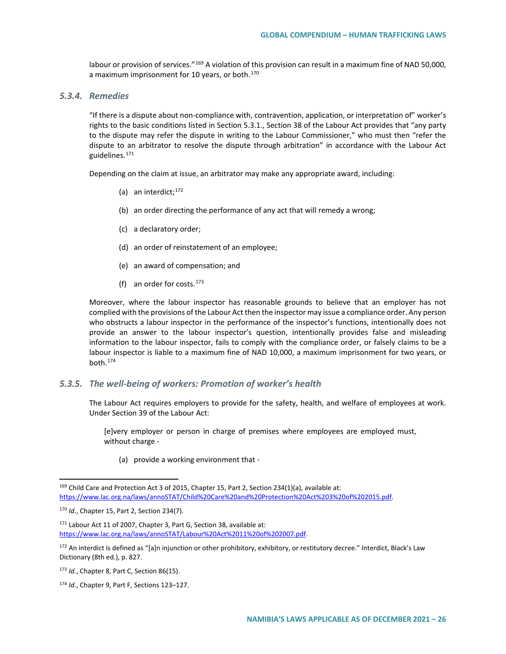labour or provision of services."<sup>[169](#page-25-0)</sup> A violation of this provision can result in a maximum fine of NAD 50,000, a maximum imprisonment for 10 years, or both.<sup>[170](#page-25-1)</sup>

# *5.3.4. Remedies*

"If there is a dispute about non-compliance with, contravention, application, or interpretation of" worker's rights to the basic conditions listed in Section 5.3.1., Section 38 of the Labour Act provides that "any party to the dispute may refer the dispute in writing to the Labour Commissioner," who must then "refer the dispute to an arbitrator to resolve the dispute through arbitration" in accordance with the Labour Act guidelines.[171](#page-25-2)

Depending on the claim at issue, an arbitrator may make any appropriate award, including:

- (a) an interdict; $172$
- (b) an order directing the performance of any act that will remedy a wrong;
- (c) a declaratory order;
- (d) an order of reinstatement of an employee;
- (e) an award of compensation; and
- (f) an order for costs. $173$

Moreover, where the labour inspector has reasonable grounds to believe that an employer has not complied with the provisions of the Labour Act then the inspector may issue a compliance order. Any person who obstructs a labour inspector in the performance of the inspector's functions, intentionally does not provide an answer to the labour inspector's question, intentionally provides false and misleading information to the labour inspector, fails to comply with the compliance order, or falsely claims to be a labour inspector is liable to a maximum fine of NAD 10,000, a maximum imprisonment for two years, or  $b$ oth. $174$ 

#### *5.3.5. The well-being of workers: Promotion of worker's health*

The Labour Act requires employers to provide for the safety, health, and welfare of employees at work. Under Section 39 of the Labour Act:

[e]very employer or person in charge of premises where employees are employed must, without charge -

(a) provide a working environment that -

<span id="page-25-0"></span><sup>&</sup>lt;sup>169</sup> Child Care and Protection Act 3 of 2015, Chapter 15, Part 2, Section 234(1)(a), available at: [https://www.lac.org.na/laws/annoSTAT/Child%20Care%20and%20Protection%20Act%203%20of%202015.pdf.](https://www.lac.org.na/laws/annoSTAT/Child%20Care%20and%20Protection%20Act%203%20of%202015.pdf)

<span id="page-25-1"></span><sup>170</sup> *Id.*, Chapter 15, Part 2, Section 234(7).

<span id="page-25-2"></span><sup>171</sup> Labour Act 11 of 2007, Chapter 3, Part G, Section 38, available at: [https://www.lac.org.na/laws/annoSTAT/Labour%20Act%2011%20of%202007.pdf.](https://www.lac.org.na/laws/annoSTAT/Labour%20Act%2011%20of%202007.pdf)

<span id="page-25-3"></span><sup>172</sup> An interdict is defined as "[a]n injunction or other prohibitory, exhibitory, or restitutory decree." Interdict, Black's Law Dictionary (8th ed.), p. 827.

<span id="page-25-4"></span><sup>173</sup> *Id.*, Chapter 8, Part C, Section 86(15).

<span id="page-25-5"></span><sup>174</sup> *Id.*, Chapter 9, Part F, Sections 123–127.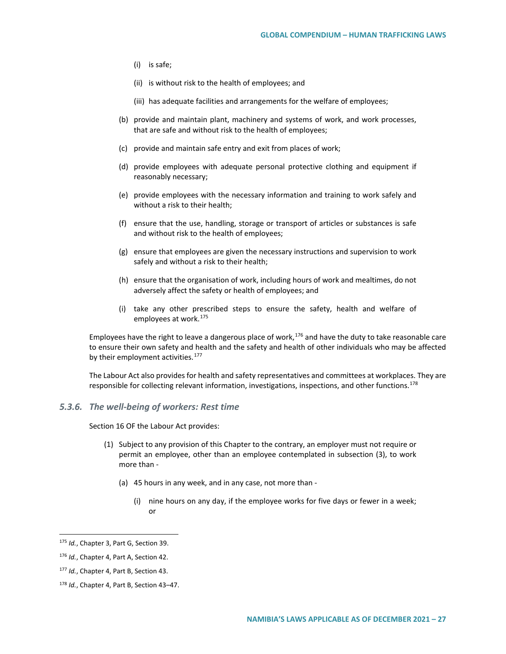- (i) is safe;
- (ii) is without risk to the health of employees; and
- (iii) has adequate facilities and arrangements for the welfare of employees;
- (b) provide and maintain plant, machinery and systems of work, and work processes, that are safe and without risk to the health of employees;
- (c) provide and maintain safe entry and exit from places of work;
- (d) provide employees with adequate personal protective clothing and equipment if reasonably necessary;
- (e) provide employees with the necessary information and training to work safely and without a risk to their health;
- (f) ensure that the use, handling, storage or transport of articles or substances is safe and without risk to the health of employees;
- (g) ensure that employees are given the necessary instructions and supervision to work safely and without a risk to their health;
- (h) ensure that the organisation of work, including hours of work and mealtimes, do not adversely affect the safety or health of employees; and
- (i) take any other prescribed steps to ensure the safety, health and welfare of employees at work.[175](#page-26-0)

Employees have the right to leave a dangerous place of work, $176$  and have the duty to take reasonable care to ensure their own safety and health and the safety and health of other individuals who may be affected by their employment activities.<sup>[177](#page-26-2)</sup>

The Labour Act also provides for health and safety representatives and committees at workplaces. They are responsible for collecting relevant information, investigations, inspections, and other functions.<sup>[178](#page-26-3)</sup>

### *5.3.6. The well-being of workers: Rest time*

Section 16 OF the Labour Act provides:

- (1) Subject to any provision of this Chapter to the contrary, an employer must not require or permit an employee, other than an employee contemplated in subsection (3), to work more than -
	- (a) 45 hours in any week, and in any case, not more than
		- (i) nine hours on any day, if the employee works for five days or fewer in a week; or

<span id="page-26-0"></span> <sup>175</sup> *Id.*, Chapter 3, Part G, Section 39.

<span id="page-26-1"></span><sup>176</sup> *Id.*, Chapter 4, Part A, Section 42.

<span id="page-26-2"></span><sup>177</sup> *Id.*, Chapter 4, Part B, Section 43.

<span id="page-26-3"></span><sup>178</sup> *Id.*, Chapter 4, Part B, Section 43–47.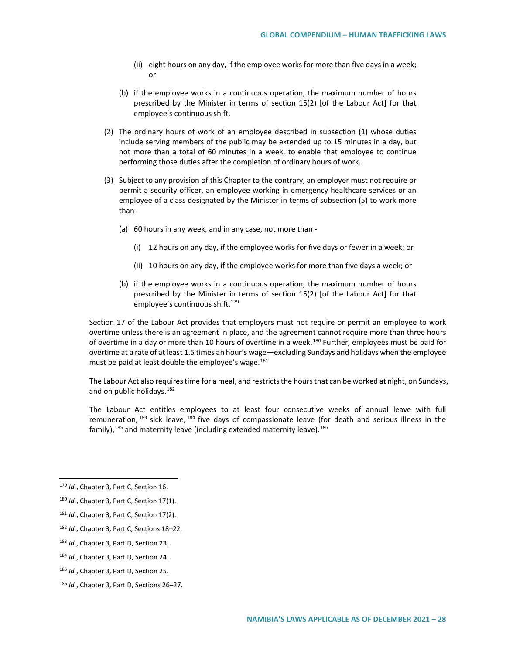- (ii) eight hours on any day, if the employee works for more than five days in a week; or
- (b) if the employee works in a continuous operation, the maximum number of hours prescribed by the Minister in terms of section 15(2) [of the Labour Act] for that employee's continuous shift.
- (2) The ordinary hours of work of an employee described in subsection (1) whose duties include serving members of the public may be extended up to 15 minutes in a day, but not more than a total of 60 minutes in a week, to enable that employee to continue performing those duties after the completion of ordinary hours of work.
- (3) Subject to any provision of this Chapter to the contrary, an employer must not require or permit a security officer, an employee working in emergency healthcare services or an employee of a class designated by the Minister in terms of subsection (5) to work more than -
	- (a) 60 hours in any week, and in any case, not more than
		- (i) 12 hours on any day, if the employee works for five days or fewer in a week; or
		- (ii) 10 hours on any day, if the employee works for more than five days a week; or
	- (b) if the employee works in a continuous operation, the maximum number of hours prescribed by the Minister in terms of section 15(2) [of the Labour Act] for that employee's continuous shift.<sup>179</sup>

Section 17 of the Labour Act provides that employers must not require or permit an employee to work overtime unless there is an agreement in place, and the agreement cannot require more than three hours of overtime in a day or more than 10 hours of overtime in a week.<sup>[180](#page-27-1)</sup> Further, employees must be paid for overtime at a rate of at least 1.5 times an hour's wage—excluding Sundays and holidays when the employee must be paid at least double the employee's wage.<sup>[181](#page-27-2)</sup>

The Labour Act also requires time for a meal, and restricts the hours that can be worked at night, on Sundays, and on public holidays.<sup>[182](#page-27-3)</sup>

The Labour Act entitles employees to at least four consecutive weeks of annual leave with full remuneration,  $^{183}$  $^{183}$  $^{183}$  sick leave,  $^{184}$  $^{184}$  $^{184}$  five days of compassionate leave (for death and serious illness in the family),  $185$  and maternity leave (including extended maternity leave).  $186$ 

<span id="page-27-0"></span> <sup>179</sup> *Id.*, Chapter 3, Part C, Section 16.

<span id="page-27-1"></span><sup>180</sup> *Id.*, Chapter 3, Part C, Section 17(1).

<span id="page-27-2"></span><sup>181</sup> *Id.*, Chapter 3, Part C, Section 17(2).

<span id="page-27-3"></span><sup>182</sup> *Id.*, Chapter 3, Part C, Sections 18–22.

<span id="page-27-4"></span><sup>183</sup> *Id.*, Chapter 3, Part D, Section 23.

<span id="page-27-5"></span><sup>184</sup> *Id.*, Chapter 3, Part D, Section 24.

<span id="page-27-6"></span><sup>185</sup> *Id.*, Chapter 3, Part D, Section 25.

<span id="page-27-7"></span><sup>186</sup> *Id.*, Chapter 3, Part D, Sections 26–27.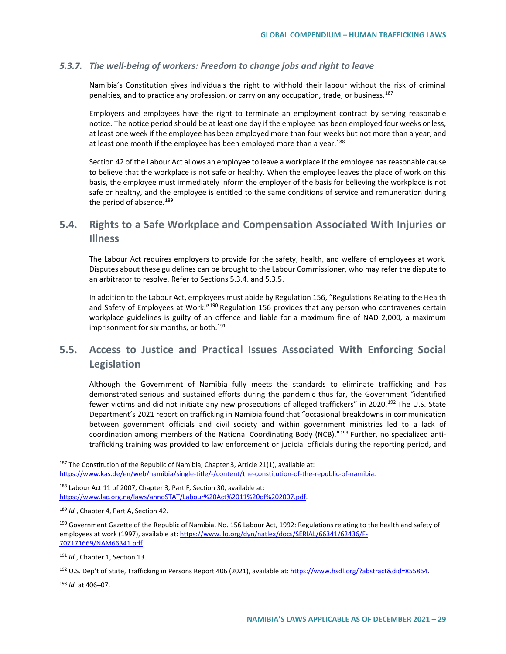## *5.3.7. The well-being of workers: Freedom to change jobs and right to leave*

Namibia's Constitution gives individuals the right to withhold their labour without the risk of criminal penalties, and to practice any profession, or carry on any occupation, trade, or business.<sup>[187](#page-28-0)</sup>

Employers and employees have the right to terminate an employment contract by serving reasonable notice. The notice period should be at least one day if the employee has been employed four weeks or less, at least one week if the employee has been employed more than four weeks but not more than a year, and at least one month if the employee has been employed more than a year.<sup>[188](#page-28-1)</sup>

Section 42 of the Labour Act allows an employee to leave a workplace if the employee has reasonable cause to believe that the workplace is not safe or healthy. When the employee leaves the place of work on this basis, the employee must immediately inform the employer of the basis for believing the workplace is not safe or healthy, and the employee is entitled to the same conditions of service and remuneration during the period of absence.<sup>[189](#page-28-2)</sup>

# **5.4. Rights to a Safe Workplace and Compensation Associated With Injuries or Illness**

The Labour Act requires employers to provide for the safety, health, and welfare of employees at work. Disputes about these guidelines can be brought to the Labour Commissioner, who may refer the dispute to an arbitrator to resolve. Refer to Sections 5.3.4. and 5.3.5.

In addition to the Labour Act, employees must abide by Regulation 156, "Regulations Relating to the Health and Safety of Employees at Work."<sup>[190](#page-28-3)</sup> Regulation 156 provides that any person who contravenes certain workplace guidelines is guilty of an offence and liable for a maximum fine of NAD 2,000, a maximum imprisonment for six months, or both.<sup>[191](#page-28-4)</sup>

# **5.5. Access to Justice and Practical Issues Associated With Enforcing Social Legislation**

Although the Government of Namibia fully meets the standards to eliminate trafficking and has demonstrated serious and sustained efforts during the pandemic thus far, the Government "identified fewer victims and did not initiate any new prosecutions of alleged traffickers" in 2020.<sup>[192](#page-28-5)</sup> The U.S. State Department's 2021 report on trafficking in Namibia found that "occasional breakdowns in communication between government officials and civil society and within government ministries led to a lack of coordination among members of the National Coordinating Body (NCB)."<sup>[193](#page-28-6)</sup> Further, no specialized antitrafficking training was provided to law enforcement or judicial officials during the reporting period, and

<span id="page-28-1"></span>188 Labour Act 11 of 2007, Chapter 3, Part F, Section 30, available at: [https://www.lac.org.na/laws/annoSTAT/Labour%20Act%2011%20of%202007.pdf.](https://www.lac.org.na/laws/annoSTAT/Labour%20Act%2011%20of%202007.pdf)

<span id="page-28-4"></span><sup>191</sup> *Id.*, Chapter 1, Section 13.

<span id="page-28-6"></span><sup>193</sup> *Id.* at 406–07.

<span id="page-28-0"></span> $187$  The Constitution of the Republic of Namibia, Chapter 3, Article 21(1), available at: [https://www.kas.de/en/web/namibia/single-title/-/content/the-constitution-of-the-republic-of-namibia.](https://www.kas.de/en/web/namibia/single-title/-/content/the-constitution-of-the-republic-of-namibia)

<span id="page-28-2"></span><sup>189</sup> *Id.*, Chapter 4, Part A, Section 42.

<span id="page-28-3"></span><sup>190</sup> Government Gazette of the Republic of Namibia, No. 156 Labour Act, 1992: Regulations relating to the health and safety of employees at work (1997), available at: [https://www.ilo.org/dyn/natlex/docs/SERIAL/66341/62436/F-](https://www.ilo.org/dyn/natlex/docs/SERIAL/66341/62436/F-707171669/NAM66341.pdf)[707171669/NAM66341.pdf.](https://www.ilo.org/dyn/natlex/docs/SERIAL/66341/62436/F-707171669/NAM66341.pdf) 

<span id="page-28-5"></span><sup>192</sup> U.S. Dep't of State, Trafficking in Persons Report 406 (2021), available at[: https://www.hsdl.org/?abstract&did=855864.](https://www.hsdl.org/?abstract&did=855864)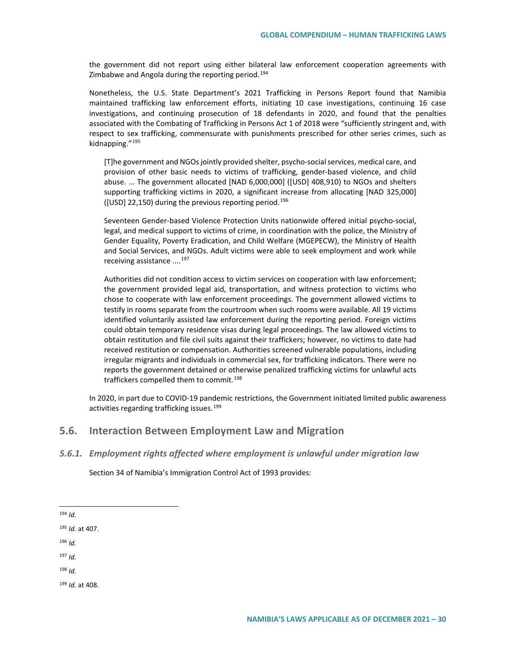the government did not report using either bilateral law enforcement cooperation agreements with Zimbabwe and Angola during the reporting period.[194](#page-29-0)

Nonetheless, the U.S. State Department's 2021 Trafficking in Persons Report found that Namibia maintained trafficking law enforcement efforts, initiating 10 case investigations, continuing 16 case investigations, and continuing prosecution of 18 defendants in 2020, and found that the penalties associated with the Combating of Trafficking in Persons Act 1 of 2018 were "sufficiently stringent and, with respect to sex trafficking, commensurate with punishments prescribed for other series crimes, such as kidnapping."[195](#page-29-1)

[T]he government and NGOs jointly provided shelter, psycho-social services, medical care, and provision of other basic needs to victims of trafficking, gender-based violence, and child abuse. ... The government allocated [NAD 6,000,000] ([USD] 408,910) to NGOs and shelters supporting trafficking victims in 2020, a significant increase from allocating [NAD 325,000] ([USD] 22,150) during the previous reporting period.<sup>[196](#page-29-2)</sup>

Seventeen Gender-based Violence Protection Units nationwide offered initial psycho-social, legal, and medical support to victims of crime, in coordination with the police, the Ministry of Gender Equality, Poverty Eradication, and Child Welfare (MGEPECW), the Ministry of Health and Social Services, and NGOs. Adult victims were able to seek employment and work while receiving assistance ....<sup>[197](#page-29-3)</sup>

Authorities did not condition access to victim services on cooperation with law enforcement; the government provided legal aid, transportation, and witness protection to victims who chose to cooperate with law enforcement proceedings. The government allowed victims to testify in rooms separate from the courtroom when such rooms were available. All 19 victims identified voluntarily assisted law enforcement during the reporting period. Foreign victims could obtain temporary residence visas during legal proceedings. The law allowed victims to obtain restitution and file civil suits against their traffickers; however, no victims to date had received restitution or compensation. Authorities screened vulnerable populations, including irregular migrants and individuals in commercial sex, for trafficking indicators. There were no reports the government detained or otherwise penalized trafficking victims for unlawful acts traffickers compelled them to commit.<sup>[198](#page-29-4)</sup>

In 2020, in part due to COVID-19 pandemic restrictions, the Government initiated limited public awareness activities regarding trafficking issues.<sup>[199](#page-29-5)</sup>

# **5.6. Interaction Between Employment Law and Migration**

### *5.6.1. Employment rights affected where employment is unlawful under migration law*

Section 34 of Namibia's Immigration Control Act of 1993 provides:

<span id="page-29-0"></span>194 *Id.*

<span id="page-29-1"></span><sup>195</sup> *Id.* at 407.

<span id="page-29-2"></span><sup>196</sup> *Id.*

<span id="page-29-3"></span><sup>197</sup> *Id.*

<span id="page-29-4"></span><sup>198</sup> *Id.*

<span id="page-29-5"></span><sup>199</sup> *Id.* at 408.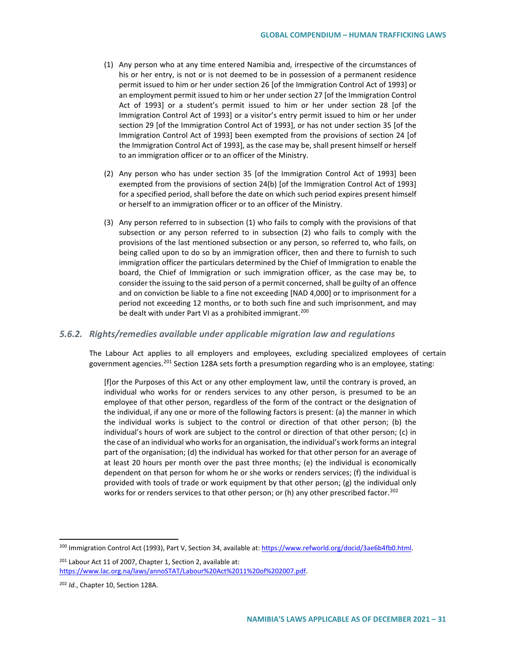- (1) Any person who at any time entered Namibia and, irrespective of the circumstances of his or her entry, is not or is not deemed to be in possession of a permanent residence permit issued to him or her under section 26 [of the Immigration Control Act of 1993] or an employment permit issued to him or her under section 27 [of the Immigration Control Act of 1993] or a student's permit issued to him or her under section 28 [of the Immigration Control Act of 1993] or a visitor's entry permit issued to him or her under section 29 [of the Immigration Control Act of 1993], or has not under section 35 [of the Immigration Control Act of 1993] been exempted from the provisions of section 24 [of the Immigration Control Act of 1993], as the case may be, shall present himself or herself to an immigration officer or to an officer of the Ministry.
- (2) Any person who has under section 35 [of the Immigration Control Act of 1993] been exempted from the provisions of section 24(b) [of the Immigration Control Act of 1993] for a specified period, shall before the date on which such period expires present himself or herself to an immigration officer or to an officer of the Ministry.
- (3) Any person referred to in subsection (1) who fails to comply with the provisions of that subsection or any person referred to in subsection (2) who fails to comply with the provisions of the last mentioned subsection or any person, so referred to, who fails, on being called upon to do so by an immigration officer, then and there to furnish to such immigration officer the particulars determined by the Chief of Immigration to enable the board, the Chief of Immigration or such immigration officer, as the case may be, to consider the issuing to the said person of a permit concerned, shall be guilty of an offence and on conviction be liable to a fine not exceeding [NAD 4,000] or to imprisonment for a period not exceeding 12 months, or to both such fine and such imprisonment, and may be dealt with under Part VI as a prohibited immigrant.<sup>[200](#page-30-0)</sup>

## *5.6.2. Rights/remedies available under applicable migration law and regulations*

The Labour Act applies to all employers and employees, excluding specialized employees of certain government agencies.<sup>[201](#page-30-1)</sup> Section 128A sets forth a presumption regarding who is an employee, stating:

[f]or the Purposes of this Act or any other employment law, until the contrary is proved, an individual who works for or renders services to any other person, is presumed to be an employee of that other person, regardless of the form of the contract or the designation of the individual, if any one or more of the following factors is present: (a) the manner in which the individual works is subject to the control or direction of that other person; (b) the individual's hours of work are subject to the control or direction of that other person; (c) in the case of an individual who works for an organisation, the individual's work forms an integral part of the organisation; (d) the individual has worked for that other person for an average of at least 20 hours per month over the past three months; (e) the individual is economically dependent on that person for whom he or she works or renders services; (f) the individual is provided with tools of trade or work equipment by that other person; (g) the individual only works for or renders services to that other person; or (h) any other prescribed factor.<sup>[202](#page-30-2)</sup>

<span id="page-30-1"></span><sup>201</sup> Labour Act 11 of 2007, Chapter 1, Section 2, available at: [https://www.lac.org.na/laws/annoSTAT/Labour%20Act%2011%20of%202007.pdf.](https://www.lac.org.na/laws/annoSTAT/Labour%20Act%2011%20of%202007.pdf)

<span id="page-30-0"></span><sup>&</sup>lt;sup>200</sup> Immigration Control Act (1993), Part V, Section 34, available at[: https://www.refworld.org/docid/3ae6b4fb0.html.](https://www.refworld.org/docid/3ae6b4fb0.html)

<span id="page-30-2"></span><sup>202</sup> *Id.*, Chapter 10, Section 128A.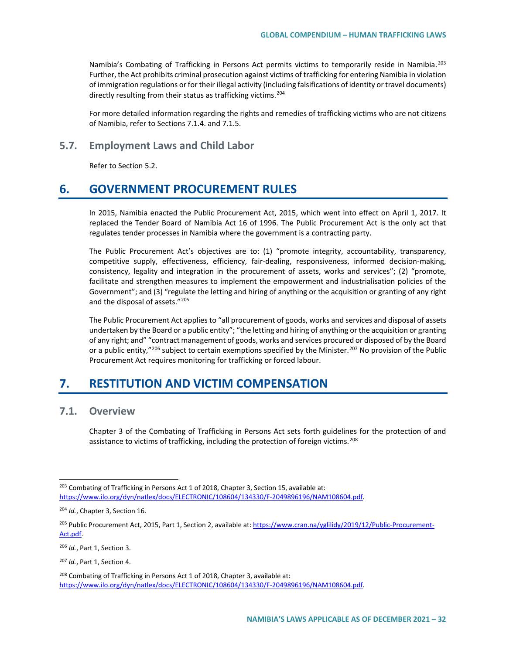Namibia's Combating of Trafficking in Persons Act permits victims to temporarily reside in Namibia.<sup>[203](#page-31-0)</sup> Further, the Act prohibits criminal prosecution against victims of trafficking for entering Namibia in violation of immigration regulations or for their illegal activity (including falsifications of identity or travel documents) directly resulting from their status as trafficking victims.<sup>[204](#page-31-1)</sup>

For more detailed information regarding the rights and remedies of trafficking victims who are not citizens of Namibia, refer to Sections 7.1.4. and 7.1.5.

# **5.7. Employment Laws and Child Labor**

Refer to Section 5.2.

# **6. GOVERNMENT PROCUREMENT RULES**

In 2015, Namibia enacted the Public Procurement Act, 2015, which went into effect on April 1, 2017. It replaced the Tender Board of Namibia Act 16 of 1996. The Public Procurement Act is the only act that regulates tender processes in Namibia where the government is a contracting party.

The Public Procurement Act's objectives are to: (1) "promote integrity, accountability, transparency, competitive supply, effectiveness, efficiency, fair-dealing, responsiveness, informed decision-making, consistency, legality and integration in the procurement of assets, works and services"; (2) "promote, facilitate and strengthen measures to implement the empowerment and industrialisation policies of the Government"; and (3) "regulate the letting and hiring of anything or the acquisition or granting of any right and the disposal of assets."<sup>[205](#page-31-2)</sup>

The Public Procurement Act applies to "all procurement of goods, works and services and disposal of assets undertaken by the Board or a public entity"; "the letting and hiring of anything or the acquisition or granting of any right; and" "contract management of goods, works and services procured or disposed of by the Board or a public entity,"<sup>[206](#page-31-3)</sup> subject to certain exemptions specified by the Minister.<sup>[207](#page-31-4)</sup> No provision of the Public Procurement Act requires monitoring for trafficking or forced labour.

# **7. RESTITUTION AND VICTIM COMPENSATION**

# **7.1. Overview**

Chapter 3 of the Combating of Trafficking in Persons Act sets forth guidelines for the protection of and assistance to victims of trafficking, including the protection of foreign victims.<sup>[208](#page-31-5)</sup>

<span id="page-31-3"></span><sup>206</sup> *Id.*, Part 1, Section 3.

<span id="page-31-0"></span><sup>&</sup>lt;sup>203</sup> Combating of Trafficking in Persons Act 1 of 2018, Chapter 3, Section 15, available at: [https://www.ilo.org/dyn/natlex/docs/ELECTRONIC/108604/134330/F-2049896196/NAM108604.pdf.](https://www.ilo.org/dyn/natlex/docs/ELECTRONIC/108604/134330/F-2049896196/NAM108604.pdf)

<span id="page-31-1"></span><sup>204</sup> *Id.*, Chapter 3, Section 16.

<span id="page-31-2"></span><sup>&</sup>lt;sup>205</sup> Public Procurement Act, 2015, Part 1, Section 2, available at[: https://www.cran.na/yglilidy/2019/12/Public-Procurement-](https://www.cran.na/yglilidy/2019/12/Public-Procurement-Act.pdf)[Act.pdf.](https://www.cran.na/yglilidy/2019/12/Public-Procurement-Act.pdf)

<span id="page-31-4"></span><sup>207</sup> *Id.*, Part 1, Section 4.

<span id="page-31-5"></span><sup>&</sup>lt;sup>208</sup> Combating of Trafficking in Persons Act 1 of 2018, Chapter 3, available at: [https://www.ilo.org/dyn/natlex/docs/ELECTRONIC/108604/134330/F-2049896196/NAM108604.pdf.](https://www.ilo.org/dyn/natlex/docs/ELECTRONIC/108604/134330/F-2049896196/NAM108604.pdf)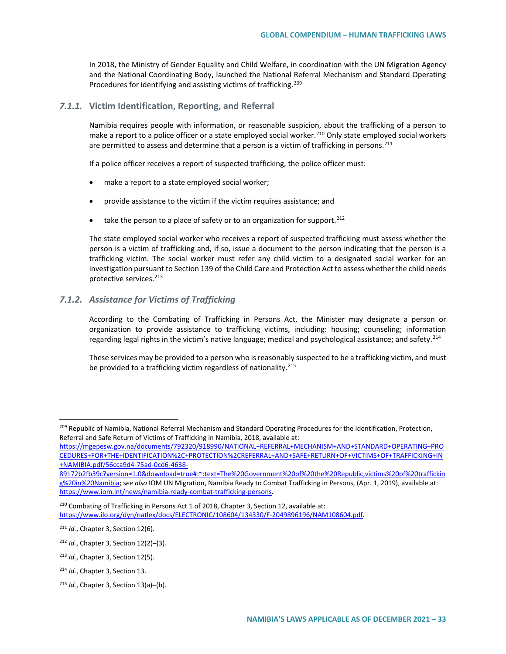In 2018, the Ministry of Gender Equality and Child Welfare, in coordination with the UN Migration Agency and the National Coordinating Body, launched the National Referral Mechanism and Standard Operating Procedures for identifying and assisting victims of trafficking.<sup>[209](#page-32-0)</sup>

## *7.1.1.* **Victim Identification, Reporting, and Referral**

Namibia requires people with information, or reasonable suspicion, about the trafficking of a person to make a report to a police officer or a state employed social worker.<sup>[210](#page-32-1)</sup> Only state employed social workers are permitted to assess and determine that a person is a victim of trafficking in persons.<sup>[211](#page-32-2)</sup>

If a police officer receives a report of suspected trafficking, the police officer must:

- make a report to a state employed social worker;
- provide assistance to the victim if the victim requires assistance; and
- $\bullet$  take the person to a place of safety or to an organization for support.<sup>[212](#page-32-3)</sup>

The state employed social worker who receives a report of suspected trafficking must assess whether the person is a victim of trafficking and, if so, issue a document to the person indicating that the person is a trafficking victim. The social worker must refer any child victim to a designated social worker for an investigation pursuant to Section 139 of the Child Care and Protection Act to assess whether the child needs protective services.<sup>[213](#page-32-4)</sup>

# *7.1.2. Assistance for Victims of Trafficking*

According to the Combating of Trafficking in Persons Act, the Minister may designate a person or organization to provide assistance to trafficking victims, including: housing; counseling; information regarding legal rights in the victim's native language; medical and psychological assistance; and safety.<sup>[214](#page-32-5)</sup>

These services may be provided to a person who is reasonably suspected to be a trafficking victim, and must be provided to a trafficking victim regardless of nationality.<sup>[215](#page-32-6)</sup>

<span id="page-32-0"></span><sup>209</sup> Republic of Namibia, National Referral Mechanism and Standard Operating Procedures for the Identification, Protection, Referral and Safe Return of Victims of Trafficking in Namibia, 2018, available at:

[https://mgepesw.gov.na/documents/792320/918990/NATIONAL+REFERRAL+MECHANISM+AND+STANDARD+OPERATING+PRO](https://mgepesw.gov.na/documents/792320/918990/NATIONAL+REFERRAL+MECHANISM+AND+STANDARD+OPERATING+PROCEDURES+FOR+THE+IDENTIFICATION%2C+PROTECTION%2CREFERRAL+AND+SAFE+RETURN+OF+VICTIMS+OF+TRAFFICKING+IN+NAMIBIA.pdf/56cca9d4-75ad-0cd6-4638-89172b2fb39c?version=1.0&download=true#:%7E:text=The%20Government%20of%20the%20Republic,victims%20of%20trafficking%20in%20Namibia) [CEDURES+FOR+THE+IDENTIFICATION%2C+PROTECTION%2CREFERRAL+AND+SAFE+RETURN+OF+VICTIMS+OF+TRAFFICKING+IN](https://mgepesw.gov.na/documents/792320/918990/NATIONAL+REFERRAL+MECHANISM+AND+STANDARD+OPERATING+PROCEDURES+FOR+THE+IDENTIFICATION%2C+PROTECTION%2CREFERRAL+AND+SAFE+RETURN+OF+VICTIMS+OF+TRAFFICKING+IN+NAMIBIA.pdf/56cca9d4-75ad-0cd6-4638-89172b2fb39c?version=1.0&download=true#:%7E:text=The%20Government%20of%20the%20Republic,victims%20of%20trafficking%20in%20Namibia) [+NAMIBIA.pdf/56cca9d4-75ad-0cd6-4638-](https://mgepesw.gov.na/documents/792320/918990/NATIONAL+REFERRAL+MECHANISM+AND+STANDARD+OPERATING+PROCEDURES+FOR+THE+IDENTIFICATION%2C+PROTECTION%2CREFERRAL+AND+SAFE+RETURN+OF+VICTIMS+OF+TRAFFICKING+IN+NAMIBIA.pdf/56cca9d4-75ad-0cd6-4638-89172b2fb39c?version=1.0&download=true#:%7E:text=The%20Government%20of%20the%20Republic,victims%20of%20trafficking%20in%20Namibia)

[<sup>89172</sup>b2fb39c?version=1.0&download=true#:~:text=The%20Government%20of%20the%20Republic,victims%20of%20traffickin](https://mgepesw.gov.na/documents/792320/918990/NATIONAL+REFERRAL+MECHANISM+AND+STANDARD+OPERATING+PROCEDURES+FOR+THE+IDENTIFICATION%2C+PROTECTION%2CREFERRAL+AND+SAFE+RETURN+OF+VICTIMS+OF+TRAFFICKING+IN+NAMIBIA.pdf/56cca9d4-75ad-0cd6-4638-89172b2fb39c?version=1.0&download=true#:%7E:text=The%20Government%20of%20the%20Republic,victims%20of%20trafficking%20in%20Namibia) [g%20in%20Namibia;](https://mgepesw.gov.na/documents/792320/918990/NATIONAL+REFERRAL+MECHANISM+AND+STANDARD+OPERATING+PROCEDURES+FOR+THE+IDENTIFICATION%2C+PROTECTION%2CREFERRAL+AND+SAFE+RETURN+OF+VICTIMS+OF+TRAFFICKING+IN+NAMIBIA.pdf/56cca9d4-75ad-0cd6-4638-89172b2fb39c?version=1.0&download=true#:%7E:text=The%20Government%20of%20the%20Republic,victims%20of%20trafficking%20in%20Namibia) s*ee also* IOM UN Migration, Namibia Ready to Combat Trafficking in Persons, (Apr. 1, 2019), available at: [https://www.iom.int/news/namibia-ready-combat-trafficking-persons.](https://www.iom.int/news/namibia-ready-combat-trafficking-persons)

<span id="page-32-1"></span><sup>210</sup> Combating of Trafficking in Persons Act 1 of 2018, Chapter 3, Section 12, available at: [https://www.ilo.org/dyn/natlex/docs/ELECTRONIC/108604/134330/F-2049896196/NAM108604.pdf.](https://www.ilo.org/dyn/natlex/docs/ELECTRONIC/108604/134330/F-2049896196/NAM108604.pdf)

<span id="page-32-2"></span><sup>211</sup> *Id.*, Chapter 3, Section 12(6).

<span id="page-32-3"></span><sup>212</sup> *Id.*, Chapter 3, Section 12(2)–(3).

<span id="page-32-4"></span><sup>213</sup> *Id.*, Chapter 3, Section 12(5).

<span id="page-32-5"></span><sup>214</sup> *Id.*, Chapter 3, Section 13.

<span id="page-32-6"></span><sup>215</sup> *Id.*, Chapter 3, Section 13(a)–(b).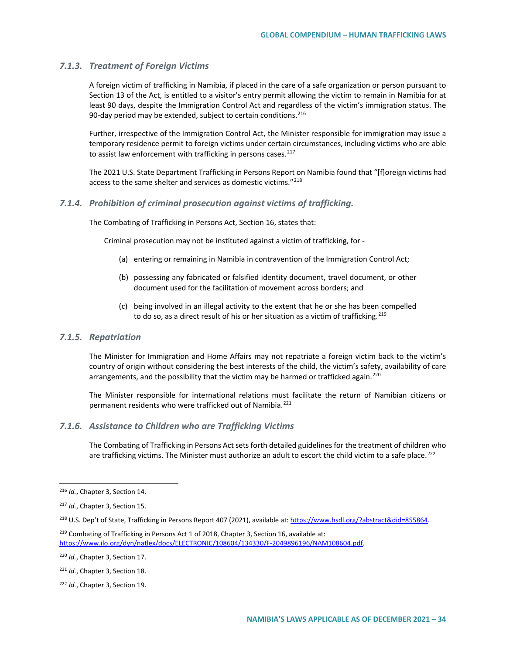## *7.1.3. Treatment of Foreign Victims*

A foreign victim of trafficking in Namibia, if placed in the care of a safe organization or person pursuant to Section 13 of the Act, is entitled to a visitor's entry permit allowing the victim to remain in Namibia for at least 90 days, despite the Immigration Control Act and regardless of the victim's immigration status. The 90-day period may be extended, subject to certain conditions.  $216$ 

Further, irrespective of the Immigration Control Act, the Minister responsible for immigration may issue a temporary residence permit to foreign victims under certain circumstances, including victims who are able to assist law enforcement with trafficking in persons cases.<sup>[217](#page-33-1)</sup>

The 2021 U.S. State Department Trafficking in Persons Report on Namibia found that "[f]oreign victims had access to the same shelter and services as domestic victims."<sup>[218](#page-33-2)</sup>

## *7.1.4. Prohibition of criminal prosecution against victims of trafficking.*

The Combating of Trafficking in Persons Act, Section 16, states that:

Criminal prosecution may not be instituted against a victim of trafficking, for -

- (a) entering or remaining in Namibia in contravention of the Immigration Control Act;
- (b) possessing any fabricated or falsified identity document, travel document, or other document used for the facilitation of movement across borders; and
- (c) being involved in an illegal activity to the extent that he or she has been compelled to do so, as a direct result of his or her situation as a victim of trafficking.<sup>[219](#page-33-3)</sup>

#### *7.1.5. Repatriation*

The Minister for Immigration and Home Affairs may not repatriate a foreign victim back to the victim's country of origin without considering the best interests of the child, the victim's safety, availability of care arrangements, and the possibility that the victim may be harmed or trafficked again.<sup>[220](#page-33-4)</sup>

The Minister responsible for international relations must facilitate the return of Namibian citizens or permanent residents who were trafficked out of Namibia.<sup>[221](#page-33-5)</sup>

## *7.1.6. Assistance to Children who are Trafficking Victims*

The Combating of Trafficking in Persons Act sets forth detailed guidelines for the treatment of children who are trafficking victims. The Minister must authorize an adult to escort the child victim to a safe place.<sup>[222](#page-33-6)</sup>

<span id="page-33-0"></span> <sup>216</sup> *Id.*, Chapter 3, Section 14.

<span id="page-33-1"></span><sup>217</sup> *Id.*, Chapter 3, Section 15.

<span id="page-33-2"></span><sup>218</sup> U.S. Dep't of State, Trafficking in Persons Report 407 (2021), available at[: https://www.hsdl.org/?abstract&did=855864.](https://www.hsdl.org/?abstract&did=855864)

<span id="page-33-3"></span><sup>&</sup>lt;sup>219</sup> Combating of Trafficking in Persons Act 1 of 2018, Chapter 3, Section 16, available at: [https://www.ilo.org/dyn/natlex/docs/ELECTRONIC/108604/134330/F-2049896196/NAM108604.pdf.](https://www.ilo.org/dyn/natlex/docs/ELECTRONIC/108604/134330/F-2049896196/NAM108604.pdf)

<span id="page-33-4"></span><sup>220</sup> *Id.*, Chapter 3, Section 17.

<span id="page-33-5"></span><sup>221</sup> *Id.*, Chapter 3, Section 18.

<span id="page-33-6"></span><sup>222</sup> *Id.*, Chapter 3, Section 19.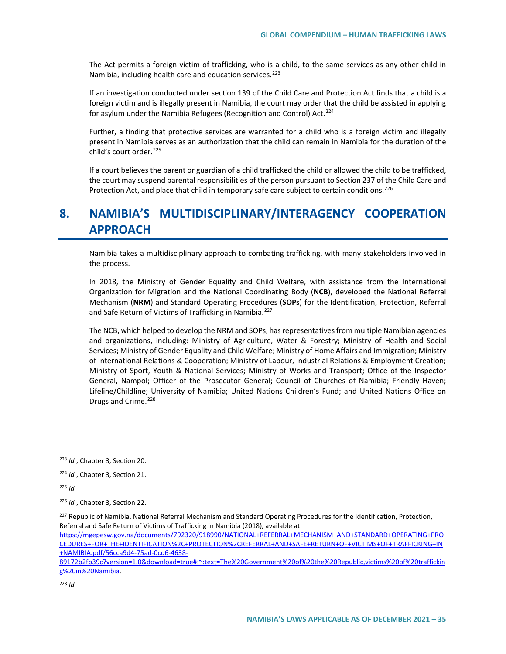The Act permits a foreign victim of trafficking, who is a child, to the same services as any other child in Namibia, including health care and education services.<sup>[223](#page-34-0)</sup>

If an investigation conducted under section 139 of the Child Care and Protection Act finds that a child is a foreign victim and is illegally present in Namibia, the court may order that the child be assisted in applying for asylum under the Namibia Refugees (Recognition and Control) Act.<sup>[224](#page-34-1)</sup>

Further, a finding that protective services are warranted for a child who is a foreign victim and illegally present in Namibia serves as an authorization that the child can remain in Namibia for the duration of the child's court order.<sup>[225](#page-34-2)</sup>

If a court believes the parent or guardian of a child trafficked the child or allowed the child to be trafficked, the court may suspend parental responsibilities of the person pursuant to Section 237 of the Child Care and Protection Act, and place that child in temporary safe care subject to certain conditions.<sup>226</sup>

# **8. NAMIBIA'S MULTIDISCIPLINARY/INTERAGENCY COOPERATION APPROACH**

Namibia takes a multidisciplinary approach to combating trafficking, with many stakeholders involved in the process.

In 2018, the Ministry of Gender Equality and Child Welfare, with assistance from the International Organization for Migration and the National Coordinating Body (**NCB**), developed the National Referral Mechanism (**NRM**) and Standard Operating Procedures (**SOPs**) for the Identification, Protection, Referral and Safe Return of Victims of Trafficking in Namibia.<sup>[227](#page-34-4)</sup>

The NCB, which helped to develop the NRM and SOPs, has representatives from multiple Namibian agencies and organizations, including: Ministry of Agriculture, Water & Forestry; Ministry of Health and Social Services; Ministry of Gender Equality and Child Welfare; Ministry of Home Affairs and Immigration; Ministry of International Relations & Cooperation; Ministry of Labour, Industrial Relations & Employment Creation; Ministry of Sport, Youth & National Services; Ministry of Works and Transport; Office of the Inspector General, Nampol; Officer of the Prosecutor General; Council of Churches of Namibia; Friendly Haven; Lifeline/Childline; University of Namibia; United Nations Children's Fund; and United Nations Office on Drugs and Crime.<sup>[228](#page-34-5)</sup>

<span id="page-34-2"></span><sup>225</sup> *Id.*

[+NAMIBIA.pdf/56cca9d4-75ad-0cd6-4638-](https://mgepesw.gov.na/documents/792320/918990/NATIONAL+REFERRAL+MECHANISM+AND+STANDARD+OPERATING+PROCEDURES+FOR+THE+IDENTIFICATION%2C+PROTECTION%2CREFERRAL+AND+SAFE+RETURN+OF+VICTIMS+OF+TRAFFICKING+IN+NAMIBIA.pdf/56cca9d4-75ad-0cd6-4638-89172b2fb39c?version=1.0&download=true#:%7E:text=The%20Government%20of%20the%20Republic,victims%20of%20trafficking%20in%20Namibia)

<span id="page-34-5"></span>[89172b2fb39c?version=1.0&download=true#:~:text=The%20Government%20of%20the%20Republic,victims%20of%20traffickin](https://mgepesw.gov.na/documents/792320/918990/NATIONAL+REFERRAL+MECHANISM+AND+STANDARD+OPERATING+PROCEDURES+FOR+THE+IDENTIFICATION%2C+PROTECTION%2CREFERRAL+AND+SAFE+RETURN+OF+VICTIMS+OF+TRAFFICKING+IN+NAMIBIA.pdf/56cca9d4-75ad-0cd6-4638-89172b2fb39c?version=1.0&download=true#:%7E:text=The%20Government%20of%20the%20Republic,victims%20of%20trafficking%20in%20Namibia) [g%20in%20Namibia.](https://mgepesw.gov.na/documents/792320/918990/NATIONAL+REFERRAL+MECHANISM+AND+STANDARD+OPERATING+PROCEDURES+FOR+THE+IDENTIFICATION%2C+PROTECTION%2CREFERRAL+AND+SAFE+RETURN+OF+VICTIMS+OF+TRAFFICKING+IN+NAMIBIA.pdf/56cca9d4-75ad-0cd6-4638-89172b2fb39c?version=1.0&download=true#:%7E:text=The%20Government%20of%20the%20Republic,victims%20of%20trafficking%20in%20Namibia) 

<span id="page-34-0"></span> <sup>223</sup> *Id.*, Chapter 3, Section 20.

<span id="page-34-1"></span><sup>224</sup> *Id.*, Chapter 3, Section 21.

<span id="page-34-3"></span><sup>226</sup> *Id.*, Chapter 3, Section 22.

<span id="page-34-4"></span><sup>&</sup>lt;sup>227</sup> Republic of Namibia, National Referral Mechanism and Standard Operating Procedures for the Identification, Protection, Referral and Safe Return of Victims of Trafficking in Namibia (2018), available at: [https://mgepesw.gov.na/documents/792320/918990/NATIONAL+REFERRAL+MECHANISM+AND+STANDARD+OPERATING+PRO](https://mgepesw.gov.na/documents/792320/918990/NATIONAL+REFERRAL+MECHANISM+AND+STANDARD+OPERATING+PROCEDURES+FOR+THE+IDENTIFICATION%2C+PROTECTION%2CREFERRAL+AND+SAFE+RETURN+OF+VICTIMS+OF+TRAFFICKING+IN+NAMIBIA.pdf/56cca9d4-75ad-0cd6-4638-89172b2fb39c?version=1.0&download=true#:%7E:text=The%20Government%20of%20the%20Republic,victims%20of%20trafficking%20in%20Namibia) [CEDURES+FOR+THE+IDENTIFICATION%2C+PROTECTION%2CREFERRAL+AND+SAFE+RETURN+OF+VICTIMS+OF+TRAFFICKING+IN](https://mgepesw.gov.na/documents/792320/918990/NATIONAL+REFERRAL+MECHANISM+AND+STANDARD+OPERATING+PROCEDURES+FOR+THE+IDENTIFICATION%2C+PROTECTION%2CREFERRAL+AND+SAFE+RETURN+OF+VICTIMS+OF+TRAFFICKING+IN+NAMIBIA.pdf/56cca9d4-75ad-0cd6-4638-89172b2fb39c?version=1.0&download=true#:%7E:text=The%20Government%20of%20the%20Republic,victims%20of%20trafficking%20in%20Namibia)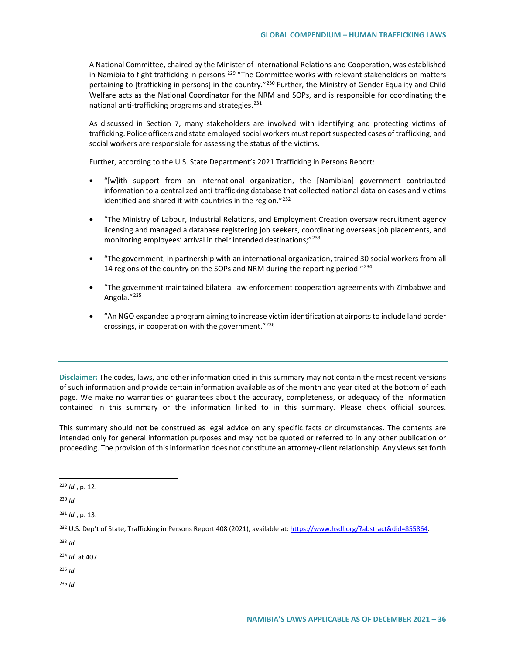A National Committee, chaired by the Minister of International Relations and Cooperation, was established in Namibia to fight trafficking in persons.<sup>[229](#page-35-0)</sup> "The Committee works with relevant stakeholders on matters pertaining to [trafficking in persons] in the country."<sup>[230](#page-35-1)</sup> Further, the Ministry of Gender Equality and Child Welfare acts as the National Coordinator for the NRM and SOPs, and is responsible for coordinating the national anti-trafficking programs and strategies.<sup>[231](#page-35-2)</sup>

As discussed in Section 7, many stakeholders are involved with identifying and protecting victims of trafficking. Police officers and state employed social workers must report suspected cases of trafficking, and social workers are responsible for assessing the status of the victims.

Further, according to the U.S. State Department's 2021 Trafficking in Persons Report:

- "[w]ith support from an international organization, the [Namibian] government contributed information to a centralized anti-trafficking database that collected national data on cases and victims identified and shared it with countries in the region."<sup>[232](#page-35-3)</sup>
- "The Ministry of Labour, Industrial Relations, and Employment Creation oversaw recruitment agency licensing and managed a database registering job seekers, coordinating overseas job placements, and monitoring employees' arrival in their intended destinations;"<sup>[233](#page-35-4)</sup>
- "The government, in partnership with an international organization, trained 30 social workers from all 14 regions of the country on the SOPs and NRM during the reporting period."[234](#page-35-5)
- "The government maintained bilateral law enforcement cooperation agreements with Zimbabwe and Angola."[235](#page-35-6)
- "An NGO expanded a program aiming to increase victim identification at airports to include land border crossings, in cooperation with the government."[236](#page-35-7)

**Disclaimer:** The codes, laws, and other information cited in this summary may not contain the most recent versions of such information and provide certain information available as of the month and year cited at the bottom of each page. We make no warranties or guarantees about the accuracy, completeness, or adequacy of the information contained in this summary or the information linked to in this summary. Please check official sources.

This summary should not be construed as legal advice on any specific facts or circumstances. The contents are intended only for general information purposes and may not be quoted or referred to in any other publication or proceeding. The provision of this information does not constitute an attorney-client relationship. Any views set forth

<span id="page-35-1"></span><sup>230</sup> *Id.*

<span id="page-35-2"></span><sup>231</sup> *Id.*, p. 13.

<span id="page-35-4"></span><sup>233</sup> *Id.*

<span id="page-35-5"></span><sup>234</sup> *Id.* at 407.

- <span id="page-35-6"></span><sup>235</sup> *Id.*
- <span id="page-35-7"></span><sup>236</sup> *Id.*

<span id="page-35-0"></span> <sup>229</sup> *Id.*, p. 12.

<span id="page-35-3"></span><sup>232</sup> U.S. Dep't of State, Trafficking in Persons Report 408 (2021), available at[: https://www.hsdl.org/?abstract&did=855864.](https://www.hsdl.org/?abstract&did=855864)